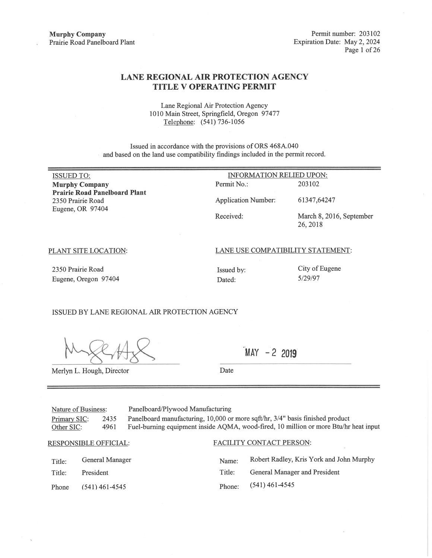## **LANE REGIONAL AIR PROTECTION AGENCY TITLE V OPERATING PERMIT**

Lane Regional Air Protection Agency 1010 Main Street, Springfield, Oregon 97477 Telephone: (541) 736-1056

Issued in accordance with the provisions of ORS 468A.040 and based on the land use compatibility findings included in the permit record.

| <b>ISSUED TO:</b>                    | <b>INFORMATION RELIED UPON:</b>   |                          |  |  |  |
|--------------------------------------|-----------------------------------|--------------------------|--|--|--|
| <b>Murphy Company</b>                | Permit No.:                       | 203102                   |  |  |  |
| <b>Prairie Road Panelboard Plant</b> |                                   |                          |  |  |  |
| 2350 Prairie Road                    | <b>Application Number:</b>        | 61347,64247              |  |  |  |
| Eugene, OR 97404                     |                                   |                          |  |  |  |
|                                      | Received:                         | March 8, 2016, September |  |  |  |
|                                      |                                   | 26, 2018                 |  |  |  |
|                                      |                                   |                          |  |  |  |
| PLANT SITE LOCATION:                 | LANE USE COMPATIBILITY STATEMENT: |                          |  |  |  |
|                                      |                                   |                          |  |  |  |
|                                      |                                   |                          |  |  |  |

2350 Prairie Road Eugene, Oregon 97404

Dated:

City of Eugene 5/29/97

ISSUED BY LANE REGIONAL AIR PROTECTION AGENCY

Merlyn L. Hough, Director

 $MAY - 22019$ 

Date

Issued by:

Panelboard/Plywood Manufacturing Nature of Business: Panelboard manufacturing, 10,000 or more sqft/hr, 3/4" basis finished product Primary SIC: 2435 Fuel-burning equipment inside AQMA, wood-fired, 10 million or more Btu/hr heat input Other SIC: 4961

**RESPONSIBLE OFFICIAL:** 

General Manager Title:

Title: President Phone  $(541)$  461-4545

# FACILITY CONTACT PERSON:

Robert Radley, Kris York and John Murphy Name: Title: General Manager and President  $(541)$  461-4545 Phone: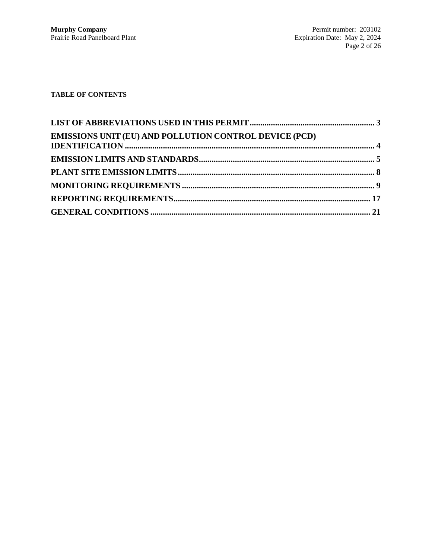# **TABLE OF CONTENTS**

| <b>EMISSIONS UNIT (EU) AND POLLUTION CONTROL DEVICE (PCD)</b> |  |
|---------------------------------------------------------------|--|
|                                                               |  |
|                                                               |  |
|                                                               |  |
|                                                               |  |
|                                                               |  |
|                                                               |  |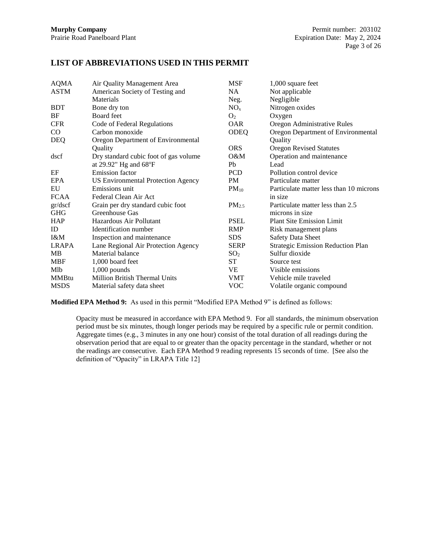# **LIST OF ABBREVIATIONS USED IN THIS PERMIT**

| <b>AQMA</b>  | Air Quality Management Area               | <b>MSF</b>      | 1,000 square feet                        |
|--------------|-------------------------------------------|-----------------|------------------------------------------|
| <b>ASTM</b>  | American Society of Testing and           | NA.             | Not applicable                           |
|              | Materials                                 | Neg.            | Negligible                               |
| <b>BDT</b>   | Bone dry ton                              | $NO_{x}$        | Nitrogen oxides                          |
| BF           | Board feet                                | O <sub>2</sub>  | Oxygen                                   |
| <b>CFR</b>   | Code of Federal Regulations               | <b>OAR</b>      | Oregon Administrative Rules              |
| $\rm CO$     | Carbon monoxide                           | ODEQ            | Oregon Department of Environmental       |
| <b>DEQ</b>   | Oregon Department of Environmental        |                 | Quality                                  |
|              | Quality                                   | <b>ORS</b>      | <b>Oregon Revised Statutes</b>           |
| dscf         | Dry standard cubic foot of gas volume     | $O\&M$          | Operation and maintenance                |
|              | at 29.92" Hg and 68°F                     | Ph              | Lead                                     |
| EF           | Emission factor                           | <b>PCD</b>      | Pollution control device                 |
| <b>EPA</b>   | <b>US Environmental Protection Agency</b> | <b>PM</b>       | Particulate matter                       |
| EU           | Emissions unit                            | $PM_{10}$       | Particulate matter less than 10 microns  |
| <b>FCAA</b>  | Federal Clean Air Act                     |                 | in size                                  |
| gr/dscf      | Grain per dry standard cubic foot         | $PM_{2.5}$      | Particulate matter less than 2.5         |
| <b>GHG</b>   | Greenhouse Gas                            |                 | microns in size                          |
| <b>HAP</b>   | Hazardous Air Pollutant                   | <b>PSEL</b>     | <b>Plant Site Emission Limit</b>         |
| ID           | Identification number                     | <b>RMP</b>      | Risk management plans                    |
| I&M          | Inspection and maintenance                | <b>SDS</b>      | <b>Safety Data Sheet</b>                 |
| LRAPA        | Lane Regional Air Protection Agency       | <b>SERP</b>     | <b>Strategic Emission Reduction Plan</b> |
| МB           | Material balance                          | SO <sub>2</sub> | Sulfur dioxide                           |
| <b>MBF</b>   | 1,000 board feet                          | ST              | Source test                              |
| Mlb          | $1,000$ pounds                            | VE              | Visible emissions                        |
| <b>MMBtu</b> | <b>Million British Thermal Units</b>      | VMT             | Vehicle mile traveled                    |
| <b>MSDS</b>  | Material safety data sheet                | <b>VOC</b>      | Volatile organic compound                |

**Modified EPA Method 9:** As used in this permit "Modified EPA Method 9" is defined as follows:

Opacity must be measured in accordance with EPA Method 9. For all standards, the minimum observation period must be six minutes, though longer periods may be required by a specific rule or permit condition. Aggregate times (e.g., 3 minutes in any one hour) consist of the total duration of all readings during the observation period that are equal to or greater than the opacity percentage in the standard, whether or not the readings are consecutive. Each EPA Method 9 reading represents 15 seconds of time. [See also the definition of "Opacity" in LRAPA Title 12]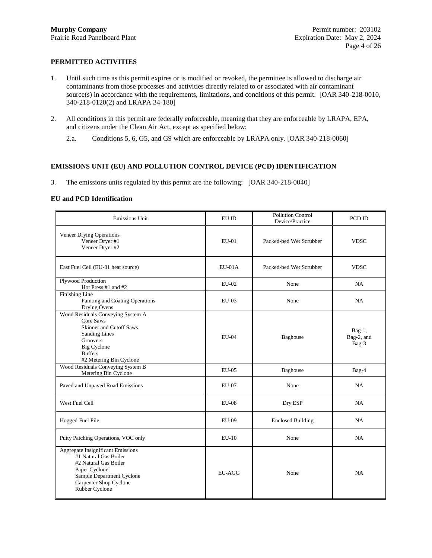## **PERMITTED ACTIVITIES**

- 1. Until such time as this permit expires or is modified or revoked, the permittee is allowed to discharge air contaminants from those processes and activities directly related to or associated with air contaminant source(s) in accordance with the requirements, limitations, and conditions of this permit. [OAR 340-218-0010, 340-218-0120(2) and LRAPA 34-180]
- 2. All conditions in this permit are federally enforceable, meaning that they are enforceable by LRAPA, EPA, and citizens under the Clean Air Act, except as specified below:
	- 2.a. Conditions [5,](#page-4-0) [6,](#page-4-1) G5, and G9 which are enforceable by LRAPA only. [OAR 340-218-0060]

## **EMISSIONS UNIT (EU) AND POLLUTION CONTROL DEVICE (PCD) IDENTIFICATION**

3. The emissions units regulated by this permit are the following: [OAR 340-218-0040]

#### **EU and PCD Identification**

| Emissions Unit                                                                                                                                                                          | EU ID                              | <b>Pollution Control</b><br>Device/Practice | PCD ID                           |
|-----------------------------------------------------------------------------------------------------------------------------------------------------------------------------------------|------------------------------------|---------------------------------------------|----------------------------------|
| <b>Veneer Drying Operations</b><br>Veneer Dryer #1<br>Veneer Dryer #2                                                                                                                   | $EU-01$<br>Packed-bed Wet Scrubber |                                             | <b>VDSC</b>                      |
| East Fuel Cell (EU-01 heat source)                                                                                                                                                      | $EU-01A$                           | Packed-bed Wet Scrubber                     | <b>VDSC</b>                      |
| Plywood Production<br>Hot Press #1 and #2                                                                                                                                               | $EU-02$                            | None                                        | NA.                              |
| Finishing Line<br>Painting and Coating Operations<br>Drying Ovens                                                                                                                       | $EU-03$                            | None                                        | NA                               |
| Wood Residuals Conveying System A<br>Core Saws<br><b>Skinner and Cutoff Saws</b><br><b>Sanding Lines</b><br>Groovers<br><b>Big Cyclone</b><br><b>Buffers</b><br>#2 Metering Bin Cyclone | EU-04                              |                                             | $Bag-1$ ,<br>Bag-2, and<br>Bag-3 |
| Wood Residuals Conveying System B<br>Metering Bin Cyclone                                                                                                                               | <b>EU-05</b>                       | Baghouse                                    | Bag-4                            |
| Paved and Unpaved Road Emissions                                                                                                                                                        | EU-07                              | None                                        | NA                               |
| West Fuel Cell                                                                                                                                                                          | <b>EU-08</b>                       | Dry ESP                                     | NA                               |
| Hogged Fuel Pile                                                                                                                                                                        | EU-09                              | <b>Enclosed Building</b>                    | NA.                              |
| Putty Patching Operations, VOC only                                                                                                                                                     | $EU-10$                            | None                                        | NA                               |
| <b>Aggregate Insignificant Emissions</b><br>#1 Natural Gas Boiler<br>#2 Natural Gas Boiler<br>Paper Cyclone<br>Sample Department Cyclone<br>Carpenter Shop Cyclone<br>Rubber Cyclone    | <b>EU-AGG</b>                      | None                                        | NA                               |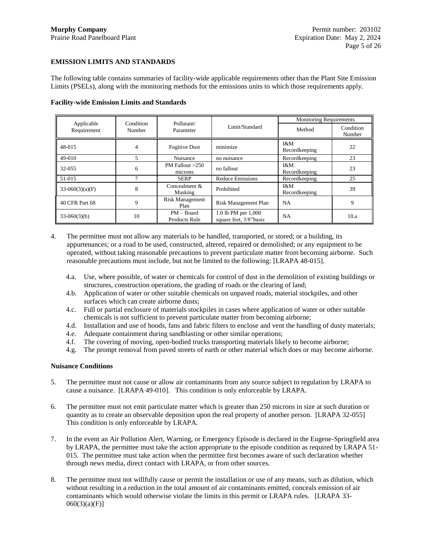## **EMISSION LIMITS AND STANDARDS**

The following table contains summaries of facility-wide applicable requirements other than the Plant Site Emission Limits (PSELs), along with the monitoring methods for the emissions units to which those requirements apply.

|                           |                     |                                      |                                               |                        | <b>Monitoring Requirements</b> |  |
|---------------------------|---------------------|--------------------------------------|-----------------------------------------------|------------------------|--------------------------------|--|
| Applicable<br>Requirement | Condition<br>Number | Pollutant/<br>Parameter              | Limit/Standard                                | Method                 | Condition<br>Number            |  |
| 48-015                    | 4                   | <b>Fugitive Dust</b>                 | minimize                                      | 1 & M<br>Recordkeeping | 22                             |  |
| 49-010                    |                     | Nuisance                             | no nuisance                                   | Recordkeeping          | 23                             |  |
| 32-055                    | 6                   | PM Fallout $>250$<br>microns         | no fallout                                    | 1 & M<br>Recordkeeping | 23                             |  |
| 51-015                    |                     | <b>SERP</b>                          | <b>Reduce Emissions</b>                       | Recordkeeping          | 25                             |  |
| $33-060(3)(a)(F)$         | 8                   | Concealment $&$<br>Masking           | Prohibited                                    | I&M<br>Recordkeeping   | 39                             |  |
| 40 CFR Part 68            | 9                   | <b>Risk Management</b><br>Plan       | Risk Management Plan                          | <b>NA</b>              | 9                              |  |
| $33-060(3)(b)$            | 10                  | $PM - Board$<br><b>Products Rule</b> | 1.0 lb PM per 1,000<br>square feet, 3/8"basis | <b>NA</b>              | 10.a                           |  |

#### **Facility-wide Emission Limits and Standards**

<span id="page-4-2"></span>4. The permittee must not allow any materials to be handled, transported, or stored; or a building, its appurtenances; or a road to be used, constructed, altered, repaired or demolished; or any equipment to be operated, without taking reasonable precautions to prevent particulate matter from becoming airborne. Such reasonable precautions must include, but not be limited to the following: [LRAPA 48-015].

- 4.a. Use, where possible, of water or chemicals for control of dust in the demolition of existing buildings or structures, construction operations, the grading of roads or the clearing of land;
- 4.b. Application of water or other suitable chemicals on unpaved roads, material stockpiles, and other surfaces which can create airborne dusts;
- 4.c. Full or partial enclosure of materials stockpiles in cases where application of water or other suitable chemicals is not sufficient to prevent particulate matter from becoming airborne;
- 4.d. Installation and use of hoods, fans and fabric filters to enclose and vent the handling of dusty materials;
- 4.e. Adequate containment during sandblasting or other similar operations;
- 4.f. The covering of moving, open-bodied trucks transporting materials likely to become airborne;
- 4.g. The prompt removal from paved streets of earth or other material which does or may become airborne.

#### **Nuisance Conditions**

- <span id="page-4-0"></span>5. The permittee must not cause or allow air contaminants from any source subject to regulation by LRAPA to cause a nuisance. [LRAPA 49-010]. This condition is only enforceable by LRAPA.
- <span id="page-4-1"></span>6. The permittee must not emit particulate matter which is greater than 250 microns in size at such duration or quantity as to create an observable deposition upon the real property of another person. [LRAPA 32-055] This condition is only enforceable by LRAPA.
- <span id="page-4-3"></span>7. In the event an Air Pollution Alert, Warning, or Emergency Episode is declared in the Eugene-Springfield area by LRAPA, the permittee must take the action appropriate to the episode condition as required by LRAPA 51- 015. The permittee must take action when the permittee first becomes aware of such declaration whether through news media, direct contact with LRAPA, or from other sources.
- <span id="page-4-4"></span>8. The permittee must not willfully cause or permit the installation or use of any means, such as dilution, which without resulting in a reduction in the total amount of air contaminants emitted, conceals emission of air contaminants which would otherwise violate the limits in this permit or LRAPA rules. [LRAPA 33- 060(3)(a)(F)]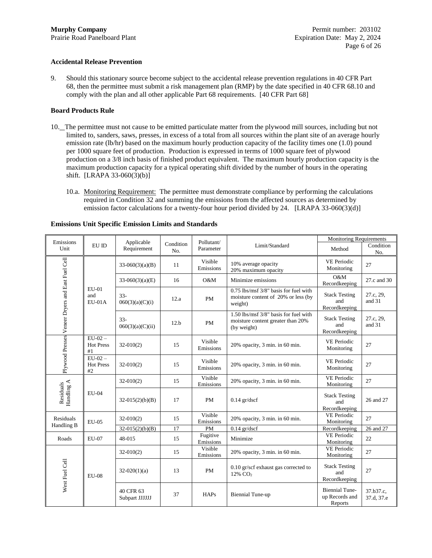#### **Accidental Release Prevention**

<span id="page-5-0"></span>9. Should this stationary source become subject to the accidental release prevention regulations in 40 CFR Part 68, then the permittee must submit a risk management plan (RMP) by the date specified in 40 CFR 68.10 and comply with the plan and all other applicable Part 68 requirements. [40 CFR Part 68]

#### **Board Products Rule**

- <span id="page-5-1"></span>10. The permittee must not cause to be emitted particulate matter from the plywood mill sources, including but not limited to, sanders, saws, presses, in excess of a total from all sources within the plant site of an average hourly emission rate (lb/hr) based on the maximum hourly production capacity of the facility times one (1.0) pound per 1000 square feet of production. Production is expressed in terms of 1000 square feet of plywood production on a 3/8 inch basis of finished product equivalent. The maximum hourly production capacity is the maximum production capacity for a typical operating shift divided by the number of hours in the operating shift. [LRAPA 33-060(3)(b)]
	- 10.a. Monitoring Requirement: The permittee must demonstrate compliance by performing the calculations required in Condition [32](#page-11-0) and summing the emissions from the affected sources as determined by emission factor calculations for a twenty-four hour period divided by 24. [LRAPA 33-060(3)(d)]

| Emissions                                        |                                       | Applicable<br>Pollutant/    |                  | <b>Monitoring Requirements</b> |                                                                                           |                                                    |                         |
|--------------------------------------------------|---------------------------------------|-----------------------------|------------------|--------------------------------|-------------------------------------------------------------------------------------------|----------------------------------------------------|-------------------------|
| Unit                                             | EU ID                                 | Requirement                 | Condition<br>No. | Parameter                      | Limit/Standard                                                                            | Method                                             | Condition<br>No.        |
|                                                  |                                       | $33-060(3)(a)(B)$           | 11               | Visible<br>Emissions           | 10% average opacity<br>20% maximum opacity                                                | <b>VE Periodic</b><br>Monitoring                   | 27                      |
|                                                  |                                       | $33-060(3)(a)(E)$           | 16               | O&M                            | Minimize emissions                                                                        | O&M<br>Recordkeeping                               | 27.c and 30             |
|                                                  | $EU-01$<br>and<br>$EU-01A$            | $33 -$<br>060(3)(a)(C)(i)   | 12.a             | <b>PM</b>                      | 0.75 lbs/msf 3/8" basis for fuel with<br>moisture content of 20% or less (by<br>weight)   | <b>Stack Testing</b><br>and<br>Recordkeeping       | 27.c, 29,<br>and 31     |
| Plywood Presses Veneer Dryers and East Fuel Cell |                                       | $33 -$<br>060(3)(a)(C)(ii)  | 12.b             | <b>PM</b>                      | 1.50 lbs/msf 3/8" basis for fuel with<br>moisture content greater than 20%<br>(by weight) | <b>Stack Testing</b><br>and<br>Recordkeeping       | 27.c, 29,<br>and 31     |
|                                                  | $EU-02-$<br><b>Hot Press</b><br>#1    | $32-010(2)$                 | 15               | Visible<br>Emissions           | 20% opacity, 3 min. in 60 min.                                                            | <b>VE Periodic</b><br>Monitoring                   | 27                      |
|                                                  | $EU-02-$<br><b>Hot Press</b><br>$\#2$ | $32-010(2)$                 | 15               | Visible<br>Emissions           | 20% opacity, 3 min. in 60 min.                                                            | <b>VE Periodic</b><br>Monitoring                   | 27                      |
|                                                  |                                       | $32-010(2)$                 | 15               | Visible<br>Emissions           | 20% opacity, 3 min. in 60 min.                                                            | <b>VE Periodic</b><br>Monitoring                   | 27                      |
| Residuals<br>Handling A                          | <b>EU-04</b>                          | $32-015(2)(b)(B)$           | 17               | <b>PM</b>                      | $0.14$ gr/dscf                                                                            | <b>Stack Testing</b><br>and<br>Recordkeeping       | 26 and 27               |
| Residuals<br>Handling B                          | <b>EU-05</b>                          | $32-010(2)$                 | 15               | Visible<br>Emissions           | 20% opacity, 3 min. in 60 min.                                                            | <b>VE Periodic</b><br>Monitoring                   | 27                      |
|                                                  |                                       | $32-015(2)(b)(B)$           | 17               | <b>PM</b>                      | $0.14$ gr/dscf                                                                            | Recordkeeping                                      | 26 and 27               |
| Roads                                            | <b>EU-07</b>                          | 48-015                      | 15               | Fugitive<br>Emissions          | Minimize                                                                                  | <b>VE Periodic</b><br>Monitoring                   | 22                      |
|                                                  |                                       | $32-010(2)$                 | 15               | Visible<br>Emissions           | 20% opacity, 3 min. in 60 min.                                                            | VE Periodic<br>Monitoring                          | 27                      |
| West Fuel Cell                                   | <b>EU-08</b>                          | $32-020(1)(a)$              | 13               | <b>PM</b>                      | 0.10 gr/scf exhaust gas corrected to<br>12% CO <sub>2</sub>                               | <b>Stack Testing</b><br>and<br>Recordkeeping       | 27                      |
|                                                  |                                       | 40 CFR 63<br>Subpart JJJJJJ | 37               | <b>HAPs</b>                    | <b>Biennial Tune-up</b>                                                                   | <b>Biennial Tune-</b><br>up Records and<br>Reports | 37.b37.c.<br>37.d, 37.e |

#### <span id="page-5-2"></span>**Emissions Unit Specific Emission Limits and Standards**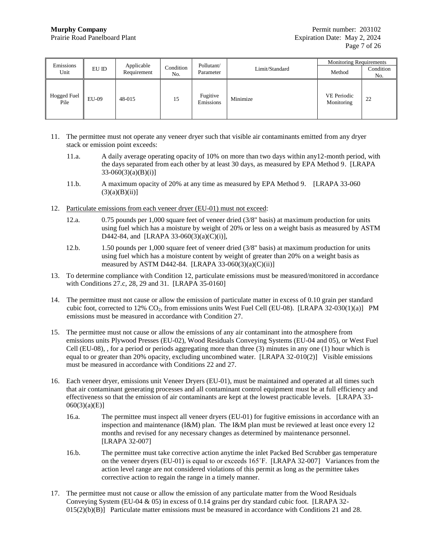| Emissions                  |       | Applicable  |                  | Pollutant/            |                | <b>Monitoring Requirements</b> |                  |
|----------------------------|-------|-------------|------------------|-----------------------|----------------|--------------------------------|------------------|
| Unit                       | EU ID | Requirement | Condition<br>No. | Parameter             | Limit/Standard | Method                         | Condition<br>No. |
| <b>Hogged Fuel</b><br>Pile | EU-09 | 48-015      | 15               | Fugitive<br>Emissions | Minimize       | VE Periodic<br>Monitoring      | 22               |

- <span id="page-6-0"></span>11. The permittee must not operate any veneer dryer such that visible air contaminants emitted from any dryer stack or emission point exceeds:
	- 11.a. A daily average operating opacity of 10% on more than two days within any12-month period, with the days separated from each other by at least 30 days, as measured by EPA Method 9. [LRAPA  $33-060(3)(a)(B)(i)$
	- 11.b. A maximum opacity of 20% at any time as measured by EPA Method 9. [LRAPA 33-060  $(3)(a)(B)(ii)]$
- <span id="page-6-7"></span><span id="page-6-2"></span>12. Particulate emissions from each veneer dryer (EU-01) must not exceed:
	- 12.a. 0.75 pounds per 1,000 square feet of veneer dried (3/8" basis) at maximum production for units using fuel which has a moisture by weight of 20% or less on a weight basis as measured by ASTM D442-84, and [LRAPA 33-060(3)(a)(C)(i)],
	- 12.b. 1.50 pounds per 1,000 square feet of veneer dried (3/8" basis) at maximum production for units using fuel which has a moisture content by weight of greater than 20% on a weight basis as measured by ASTM D442-84. [LRAPA 33-060(3)(a)(C)(ii)]
- <span id="page-6-6"></span><span id="page-6-3"></span>13. To determine compliance with Condition [12,](#page-6-7) particulate emissions must be measured/monitored in accordance with Condition[s 27.c,](#page-10-0) [28,](#page-10-4) [29](#page-10-2) and [31.](#page-10-3) [LRAPA 35-0160]
- 14. The permittee must not cause or allow the emission of particulate matter in excess of 0.10 grain per standard cubic foot, corrected to 12% CO2, from emissions units West Fuel Cell (EU-08). [LRAPA 32-030(1)(a)] PM emissions must be measured in accordance with Condition [27.](#page-9-2)
- <span id="page-6-4"></span>15. The permittee must not cause or allow the emissions of any air contaminant into the atmosphere from emissions units Plywood Presses (EU-02), Wood Residuals Conveying Systems (EU-04 and 05), or West Fuel Cell (EU-08), , for a period or periods aggregating more than three (3) minutes in any one (1) hour which is equal to or greater than 20% opacity, excluding uncombined water. [LRAPA 32-010(2)] Visible emissions must be measured in accordance with Conditions [22](#page-8-0) an[d 27.](#page-9-2)
- <span id="page-6-1"></span>16. Each veneer dryer, emissions unit Veneer Dryers (EU-01), must be maintained and operated at all times such that air contaminant generating processes and all contaminant control equipment must be at full efficiency and effectiveness so that the emission of air contaminants are kept at the lowest practicable levels. [LRAPA 33- 060(3)(a)(E)]
	- 16.a. The permittee must inspect all veneer dryers (EU-01) for fugitive emissions in accordance with an inspection and maintenance  $(I\&M)$  plan. The I&M plan must be reviewed at least once every 12 months and revised for any necessary changes as determined by maintenance personnel. [LRAPA 32-007]
	- 16.b. The permittee must take corrective action anytime the inlet Packed Bed Scrubber gas temperature on the veneer dryers (EU-01) is equal to or exceeds 165˚F. [LRAPA 32-007] Variances from the action level range are not considered violations of this permit as long as the permittee takes corrective action to regain the range in a timely manner.
- <span id="page-6-5"></span>17. The permittee must not cause or allow the emission of any particulate matter from the Wood Residuals Conveying System (EU-04  $\&$  05) in excess of 0.14 grains per dry standard cubic foot. [LRAPA 32- $015(2)(b)(B)$  Particulate matter emissions must be measured in accordance with Conditions [21](#page-8-1) and [28.](#page-10-4)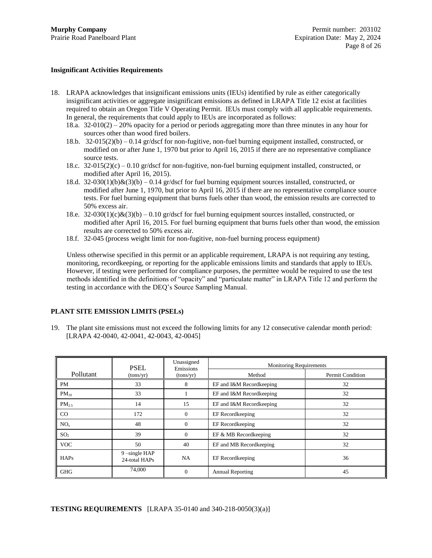## **Insignificant Activities Requirements**

- <span id="page-7-0"></span>18. LRAPA acknowledges that insignificant emissions units (IEUs) identified by rule as either categorically insignificant activities or aggregate insignificant emissions as defined in LRAPA Title 12 exist at facilities required to obtain an Oregon Title V Operating Permit. IEUs must comply with all applicable requirements. In general, the requirements that could apply to IEUs are incorporated as follows:
	- 18.a. 32-010(2) 20% opacity for a period or periods aggregating more than three minutes in any hour for sources other than wood fired boilers.
	- 18.b.  $32-015(2)(b) 0.14$  gr/dscf for non-fugitive, non-fuel burning equipment installed, constructed, or modified on or after June 1, 1970 but prior to April 16, 2015 if there are no representative compliance source tests.
	- 18.c.  $32-015(2)(c) 0.10$  gr/dscf for non-fugitive, non-fuel burning equipment installed, constructed, or modified after April 16, 2015).
	- 18.d. 32-030(1)(b) $\& (3)(b) 0.14$  gr/dscf for fuel burning equipment sources installed, constructed, or modified after June 1, 1970, but prior to April 16, 2015 if there are no representative compliance source tests. For fuel burning equipment that burns fuels other than wood, the emission results are corrected to 50% excess air.
	- 18.e.  $32-030(1)(c)\&(3)(b) 0.10$  gr/dscf for fuel burning equipment sources installed, constructed, or modified after April 16, 2015. For fuel burning equipment that burns fuels other than wood, the emission results are corrected to 50% excess air.
	- 18.f. 32-045 (process weight limit for non-fugitive, non-fuel burning process equipment)

Unless otherwise specified in this permit or an applicable requirement, LRAPA is not requiring any testing, monitoring, recordkeeping, or reporting for the applicable emissions limits and standards that apply to IEUs. However, if testing were performed for compliance purposes, the permittee would be required to use the test methods identified in the definitions of "opacity" and "particulate matter" in LRAPA Title 12 and perform the testing in accordance with the DEQ's Source Sampling Manual.

## **PLANT SITE EMISSION LIMITS (PSELs)**

<span id="page-7-1"></span>19. The plant site emissions must not exceed the following limits for any 12 consecutive calendar month period: [LRAPA 42-0040, 42-0041, 42-0043, 42-0045]

|                 | <b>PSEL</b>                      | Unassigned<br>Emissions | <b>Monitoring Requirements</b> |                         |  |
|-----------------|----------------------------------|-------------------------|--------------------------------|-------------------------|--|
| Pollutant       | (tons/yr)                        | (tons/yr)               | Method                         | <b>Permit Condition</b> |  |
| PM              | 33                               | 8                       | EF and I&M Recordkeeping       | 32                      |  |
| $PM_{10}$       | 33                               |                         | EF and I&M Recordkeeping       | 32                      |  |
| $PM_{2.5}$      | 14                               | 15                      | EF and I&M Recordkeeping       | 32                      |  |
| $\rm CO$        | 172                              | $\Omega$                | EF Recordkeeping               | 32                      |  |
| NO <sub>x</sub> | 48                               | $\Omega$                | EF Recordkeeping               | 32                      |  |
| SO <sub>2</sub> | 39                               | $\Omega$                | EF & MB Recordkeeping          | 32                      |  |
| <b>VOC</b>      | 50                               | 40                      | EF and MB Recordkeeping        | 32                      |  |
| <b>HAPs</b>     | $9$ –single HAP<br>24-total HAPs | NA                      | EF Recordkeeping               | 36                      |  |
| <b>GHG</b>      | 74,000                           | $\Omega$                | <b>Annual Reporting</b>        | 45                      |  |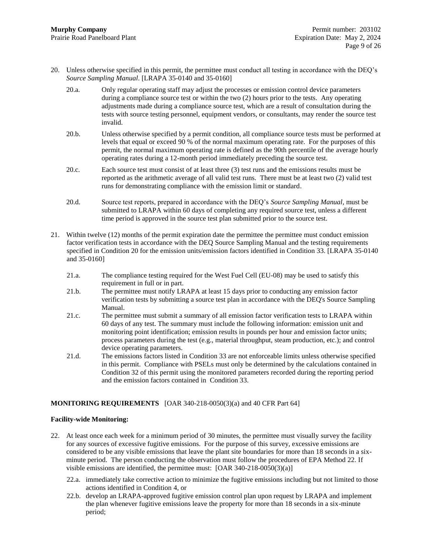- <span id="page-8-2"></span>20. Unless otherwise specified in this permit, the permittee must conduct all testing in accordance with the DEQ's *Source Sampling Manual*. [LRAPA 35-0140 and 35-0160]
	- 20.a. Only regular operating staff may adjust the processes or emission control device parameters during a compliance source test or within the two (2) hours prior to the tests. Any operating adjustments made during a compliance source test, which are a result of consultation during the tests with source testing personnel, equipment vendors, or consultants, may render the source test invalid.
	- 20.b. Unless otherwise specified by a permit condition, all compliance source tests must be performed at levels that equal or exceed 90 % of the normal maximum operating rate. For the purposes of this permit, the normal maximum operating rate is defined as the 90th percentile of the average hourly operating rates during a 12-month period immediately preceding the source test.
	- 20.c. Each source test must consist of at least three (3) test runs and the emissions results must be reported as the arithmetic average of all valid test runs. There must be at least two (2) valid test runs for demonstrating compliance with the emission limit or standard.
	- 20.d. Source test reports, prepared in accordance with the DEQ's *Source Sampling Manual*, must be submitted to LRAPA within 60 days of completing any required source test, unless a different time period is approved in the source test plan submitted prior to the source test.
- <span id="page-8-1"></span>21. Within twelve (12) months of the permit expiration date the permittee the permittee must conduct emission factor verification tests in accordance with the DEQ Source Sampling Manual and the testing requirements specified in Condition [20](#page-8-2) for the emission units/emission factors identified in Condition [33.](#page-12-0) [LRAPA 35-0140 and 35-0160]
	- 21.a. The compliance testing required for the West Fuel Cell (EU-08) may be used to satisfy this requirement in full or in part.
	- 21.b. The permittee must notify LRAPA at least 15 days prior to conducting any emission factor verification tests by submitting a source test plan in accordance with the DEQ's Source Sampling Manual.
	- 21.c. The permittee must submit a summary of all emission factor verification tests to LRAPA within 60 days of any test. The summary must include the following information: emission unit and monitoring point identification; emission results in pounds per hour and emission factor units; process parameters during the test (e.g., material throughput, steam production, etc.); and control device operating parameters.
	- 21.d. The emissions factors listed in Conditio[n 33](#page-12-0) are not enforceable limits unless otherwise specified in this permit. Compliance with PSELs must only be determined by the calculations contained in Condition [32](#page-11-0) of this permit using the monitored parameters recorded during the reporting period and the emission factors contained in Condition [33.](#page-12-0)

## **MONITORING REQUIREMENTS** [OAR 340-218-0050(3)(a) and 40 CFR Part 64]

## **Facility-wide Monitoring:**

- <span id="page-8-0"></span>22. At least once each week for a minimum period of 30 minutes, the permittee must visually survey the facility for any sources of excessive fugitive emissions. For the purpose of this survey, excessive emissions are considered to be any visible emissions that leave the plant site boundaries for more than 18 seconds in a sixminute period. The person conducting the observation must follow the procedures of EPA Method 22. If visible emissions are identified, the permittee must: [OAR 340-218-0050(3)(a)]
	- 22.a. immediately take corrective action to minimize the fugitive emissions including but not limited to those actions identified in Condition [4,](#page-4-2) or
	- 22.b. develop an LRAPA-approved fugitive emission control plan upon request by LRAPA and implement the plan whenever fugitive emissions leave the property for more than 18 seconds in a six-minute period;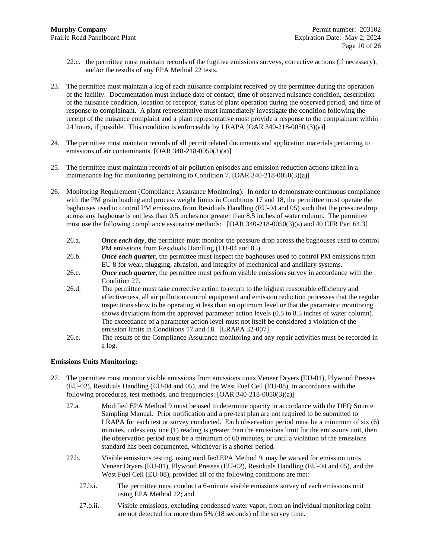- 22.c. the permittee must maintain records of the fugitive emissions surveys, corrective actions (if necessary), and/or the results of any EPA Method 22 tests.
- <span id="page-9-0"></span>23. The permittee must maintain a log of each nuisance complaint received by the permittee during the operation of the facility. Documentation must include date of contact, time of observed nuisance condition, description of the nuisance condition, location of receptor, status of plant operation during the observed period, and time of response to complainant. A plant representative must immediately investigate the condition following the receipt of the nuisance complaint and a plant representative must provide a response to the complainant within 24 hours, if possible. This condition is enforceable by LRAPA [OAR 340-218-0050 (3)(a)]
- 24. The permittee must maintain records of all permit related documents and application materials pertaining to emissions of air contaminants. [OAR 340-218-0050(3)(a)]
- <span id="page-9-1"></span>25. The permittee must maintain records of air pollution episodes and emission reduction actions taken in a maintenance log for monitoring pertaining to Condition [7.](#page-4-3) [OAR 340-218-0050(3)(a)]
- <span id="page-9-3"></span>26. Monitoring Requirement (Compliance Assurance Monitoring). In order to demonstrate continuous compliance with the PM grain loading and process weight limits in Conditions [17](#page-6-5) and [18,](#page-7-0) the permittee must operate the baghouses used to control PM emissions from Residuals Handling (EU-04 and 05) such that the pressure drop across any baghouse is not less than 0.5 inches nor greater than 8.5 inches of water column. The permittee must use the following compliance assurance methods: [OAR 340-218-0050(3)(a) and 40 CFR Part 64.3]
	- 26.a. *Once each day*, the permittee must monitor the pressure drop across the baghouses used to control PM emissions from Residuals Handling (EU-04 and 05).
	- 26.b. *Once each quarter*, the permittee must inspect the baghouses used to control PM emissions from EU 8 for wear, plugging, abrasion, and integrity of mechanical and ancillary systems.
	- 26.c. *Once each quarter*, the permittee must perform visible emissions survey in accordance with the Condition [27.](#page-9-2)
	- 26.d. The permittee must take corrective action to return to the highest reasonable efficiency and effectiveness, all air pollution control equipment and emission reduction processes that the regular inspections show to be operating at less than an optimum level or that the parametric monitoring shows deviations from the approved parameter action levels (0.5 to 8.5 inches of water column). The exceedance of a parameter action level must not itself be considered a violation of the emission limits in Conditions [17](#page-6-5) and [18.](#page-7-0) [LRAPA 32-007]
	- 26.e. The results of the Compliance Assurance monitoring and any repair activities must be recorded in a log.

## **Emissions Units Monitoring:**

- <span id="page-9-2"></span>27. The permittee must monitor visible emissions from emissions units Veneer Dryers (EU-01), Plywood Presses (EU-02), Residuals Handling (EU-04 and 05), and the West Fuel Cell (EU-08), in accordance with the following procedures, test methods, and frequencies: [OAR 340-218-0050(3)(a)]
	- 27.a. Modified EPA Method 9 must be used to determine opacity in accordance with the DEQ Source Sampling Manual. Prior notification and a pre-test plan are not required to be submitted to LRAPA for each test or survey conducted. Each observation period must be a minimum of six (6) minutes, unless any one (1) reading is greater than the emissions limit for the emissions unit, then the observation period must be a minimum of 60 minutes, or until a violation of the emissions standard has been documented, whichever is a shorter period.
	- 27.b. Visible emissions testing, using modified EPA Method 9, may be waived for emission units Veneer Dryers (EU-01), Plywood Presses (EU-02), Residuals Handling (EU-04 and 05), and the West Fuel Cell (EU-08), provided all of the following conditions are met:
		- 27.b.i. The permittee must conduct a 6-minute visible emissions survey of each emissions unit using EPA Method 22; and
		- 27.b.ii. Visible emissions, excluding condensed water vapor, from an individual monitoring point are not detected for more than 5% (18 seconds) of the survey time.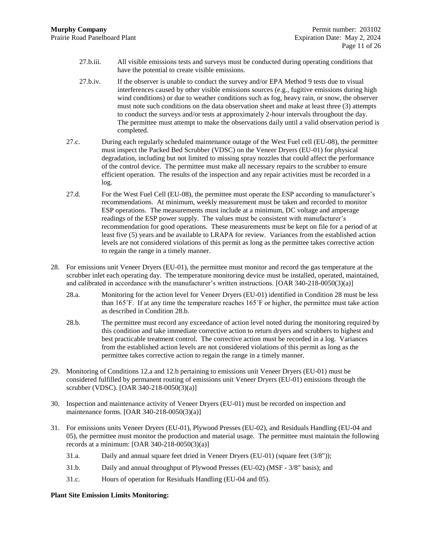- 27.b.iii. All visible emissions tests and surveys must be conducted during operating conditions that have the potential to create visible emissions.
- 27.b.iv. If the observer is unable to conduct the survey and/or EPA Method 9 tests due to visual interferences caused by other visible emissions sources (e.g., fugitive emissions during high wind conditions) or due to weather conditions such as fog, heavy rain, or snow, the observer must note such conditions on the data observation sheet and make at least three (3) attempts to conduct the surveys and/or tests at approximately 2-hour intervals throughout the day. The permittee must attempt to make the observations daily until a valid observation period is completed.
- <span id="page-10-0"></span>27.c. During each regularly scheduled maintenance outage of the West Fuel cell (EU-08), the permittee must inspect the Packed Bed Scrubber (VDSC) on the Veneer Dryers (EU-01) for physical degradation, including but not limited to missing spray nozzles that could affect the performance of the control device. The permittee must make all necessary repairs to the scrubber to ensure efficient operation. The results of the inspection and any repair activities must be recorded in a log.
- 27.d. For the West Fuel Cell (EU-08), the permittee must operate the ESP according to manufacturer's recommendations. At minimum, weekly measurement must be taken and recorded to monitor ESP operations. The measurements must include at a minimum, DC voltage and amperage readings of the ESP power supply. The values must be consistent with manufacturer's recommendation for good operations. These measurements must be kept on file for a period of at least five (5) years and be available to LRAPA for review. Variances from the established action levels are not considered violations of this permit as long as the permittee takes corrective action to regain the range in a timely manner.
- <span id="page-10-4"></span>28. For emissions unit Veneer Dryers (EU-01), the permittee must monitor and record the gas temperature at the scrubber inlet each operating day. The temperature monitoring device must be installed, operated, maintained, and calibrated in accordance with the manufacturer's written instructions. [OAR 340-218-0050(3)(a)]
	- 28.a. Monitoring for the action level for Veneer Dryers (EU-01) identified in Conditio[n 28](#page-10-4) must be less than 165˚F. If at any time the temperature reaches 165˚F or higher, the permittee must take action as described in Condition [28.b.](#page-10-5)
	- 28.b. The permittee must record any exceedance of action level noted during the monitoring required by this condition and take immediate corrective action to return dryers and scrubbers to highest and best practicable treatment control. The corrective action must be recorded in a log. Variances from the established action levels are not considered violations of this permit as long as the permittee takes corrective action to regain the range in a timely manner.
- <span id="page-10-5"></span><span id="page-10-2"></span>29. Monitoring of Conditions [12.a](#page-6-2) an[d 12.b](#page-6-3) pertaining to emissions unit Veneer Dryers (EU-01) must be considered fulfilled by permanent routing of emissions unit Veneer Dryers (EU-01) emissions through the scrubber (VDSC). [OAR 340-218-0050(3)(a)]
- <span id="page-10-1"></span>30. Inspection and maintenance activity of Veneer Dryers (EU-01) must be recorded on inspection and maintenance forms. [OAR 340-218-0050(3)(a)]
- <span id="page-10-3"></span>31. For emissions units Veneer Dryers (EU-01), Plywood Presses (EU-02), and Residuals Handling (EU-04 and 05), the permittee must monitor the production and material usage. The permittee must maintain the following records at a minimum: [OAR 340-218-0050(3)(a)]
	- 31.a. Daily and annual square feet dried in Veneer Dryers (EU-01) (square feet (3/8"));
	- 31.b. Daily and annual throughput of Plywood Presses (EU-02) (MSF 3/8" basis); and
	- 31.c. Hours of operation for Residuals Handling (EU-04 and 05).

## **Plant Site Emission Limits Monitoring:**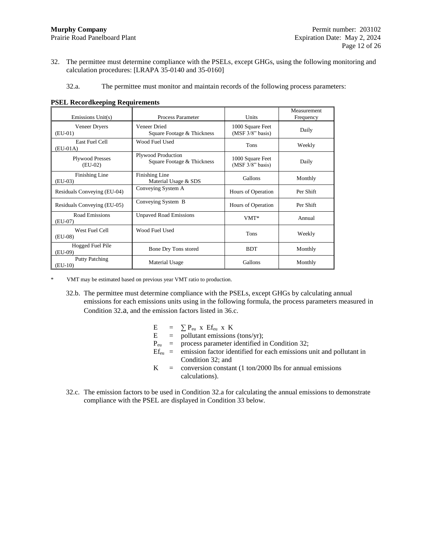- <span id="page-11-0"></span>32. The permittee must determine compliance with the PSELs, except GHGs, using the following monitoring and calculation procedures: [LRAPA 35-0140 and 35-0160]
	- 32.a. The permittee must monitor and maintain records of the following process parameters:

| Emissions Unit(s)                   | Process Parameter                                | Units                                | Measurement<br>Frequency |
|-------------------------------------|--------------------------------------------------|--------------------------------------|--------------------------|
| Veneer Dryers<br>$(EU-01)$          | Veneer Dried<br>Square Footage & Thickness       | 1000 Square Feet<br>(MSF 3/8" basis) | Daily                    |
| East Fuel Cell<br>$(EU-01A)$        | Wood Fuel Used                                   | <b>Tons</b>                          | Weekly                   |
| <b>Plywood Presses</b><br>$(EU-02)$ | Plywood Production<br>Square Footage & Thickness | 1000 Square Feet<br>(MSF 3/8" basis) | Daily                    |
| Finishing Line<br>$(EU-03)$         | Finishing Line<br>Material Usage & SDS           | Gallons                              | Monthly                  |
| Residuals Conveying (EU-04)         | Conveying System A                               | Hours of Operation                   | Per Shift                |
| Residuals Conveying (EU-05)         | Conveying System B                               | Hours of Operation                   | Per Shift                |
| <b>Road Emissions</b><br>(EU-07)    | <b>Unpaved Road Emissions</b>                    | VMT*                                 | Annual                   |
| West Fuel Cell<br>$(EU-08)$         | Wood Fuel Used                                   | Tons                                 | Weekly                   |
| Hogged Fuel Pile<br>(EU-09)         | Bone Dry Tons stored                             | <b>BDT</b>                           | Monthly                  |
| <b>Putty Patching</b><br>$(EU-10)$  | Material Usage                                   | Gallons                              | Monthly                  |

<span id="page-11-1"></span>**PSEL Recordkeeping Requirements**

VMT may be estimated based on previous year VMT ratio to production.

- 32.b. The permittee must determine compliance with the PSELs, except GHGs by calculating annual emissions for each emissions units using in the following formula, the process parameters measured in Condition [32](#page-11-0).a, and the emission factors listed in 36.c.
	- $E = \sum P_{eu} x E f_{eu} x K$ <br>E = pollutant emissions
		- $=$  pollutant emissions (tons/yr);
	- $P_{eu}$  = process parameter identified in Condition [32;](#page-11-0)
	- $Ef_{eu}$  = emission factor identified for each emissions unit and pollutant in Condition [32;](#page-11-0) and
	- $K =$  conversion constant (1 ton/2000 lbs for annual emissions calculations).
- 32.c. The emission factors to be used in Condition [32.a](#page-11-1) for calculating the annual emissions to demonstrate compliance with the PSEL are displayed in Conditio[n 33](#page-12-0) below.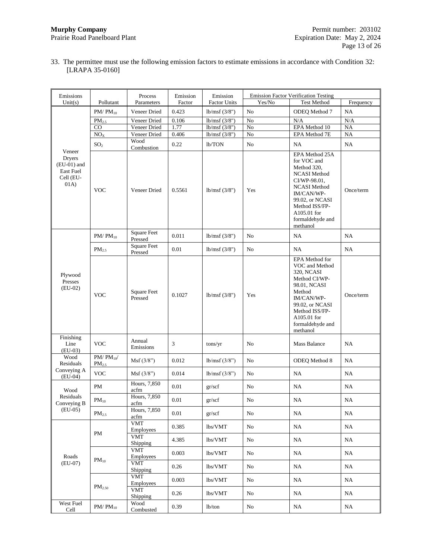<span id="page-12-0"></span>33. The permittee must use the following emission factors to estimate emissions in accordance with Condition [32:](#page-11-0) [LRAPA 35-0160]

| Emissions                                                                   |                                   | Process                        | Emission | Emission            |            | <b>Emission Factor Verification Testing</b>                                                                                                                                                                  |           |
|-----------------------------------------------------------------------------|-----------------------------------|--------------------------------|----------|---------------------|------------|--------------------------------------------------------------------------------------------------------------------------------------------------------------------------------------------------------------|-----------|
| Unit(s)                                                                     | Pollutant                         | Parameters                     | Factor   | <b>Factor Units</b> | Yes/No     | <b>Test Method</b>                                                                                                                                                                                           | Frequency |
|                                                                             | $PM/PM_{10}$                      | Veneer Dried                   | 0.423    | lb/msf(3/8")        | No         | ODEQ Method 7                                                                                                                                                                                                | NA        |
|                                                                             | $PM_{2.5}$                        | Veneer Dried                   | 0.106    | lb/msf(3/8")        | No         | N/A                                                                                                                                                                                                          | N/A       |
|                                                                             | CO                                | Veneer Dried                   | 1.77     | lb/msf $(3/8")$     | ${\rm No}$ | EPA Method 10                                                                                                                                                                                                | <b>NA</b> |
|                                                                             | NO <sub>X</sub>                   | Veneer Dried                   | 0.406    | lb/msf $(3/8")$     | $\rm No$   | EPA Method 7E                                                                                                                                                                                                | NA        |
|                                                                             | SO <sub>2</sub>                   | Wood<br>Combustion             | 0.22     | lb/TON              | No         | NA                                                                                                                                                                                                           | NA        |
| Veneer<br><b>Dryers</b><br>$(EU-01)$ and<br>East Fuel<br>Cell (EU-<br>(01A) | <b>VOC</b>                        | Veneer Dried                   | 0.5561   | lb/msf(3/8")        | Yes        | EPA Method 25A<br>for VOC and<br>Method 320.<br><b>NCASI Method</b><br>CI/WP-98.01,<br><b>NCASI Method</b><br>IM/CAN/WP-<br>99.02, or NCASI<br>Method ISS/FP-<br>A105.01 for<br>formaldehyde and<br>methanol | Once/term |
|                                                                             | $PM/PM_{10}$                      | <b>Square Feet</b><br>Pressed  | 0.011    | lb/msf(3/8")        | No         | NA                                                                                                                                                                                                           | NA        |
|                                                                             | $PM_{2.5}$                        | <b>Square Feet</b><br>Pressed  | $0.01\,$ | lb/msf(3/8")        | No         | NA                                                                                                                                                                                                           | NA        |
| Plywood<br>Presses<br>$(EU-02)$                                             | <b>VOC</b>                        | <b>Square Feet</b><br>Pressed  | 0.1027   | lb/msf(3/8")        | Yes        | <b>EPA</b> Method for<br>VOC and Method<br><b>320, NCASI</b><br>Method CI/WP-<br>98.01, NCASI<br>Method<br>IM/CAN/WP-<br>99.02, or NCASI<br>Method ISS/FP-<br>A105.01 for<br>formaldehyde and<br>methanol    | Once/term |
| Finishing<br>Line<br>$(EU-03)$                                              | <b>VOC</b>                        | Annual<br>Emissions            | 3        | tons/yr             | No         | <b>Mass Balance</b>                                                                                                                                                                                          | NA        |
| Wood<br>Residuals                                                           | $PM/PM_{10}$<br>PM <sub>2.5</sub> | Msf(3/8")                      | 0.012    | lb/msf (3/8")       | No         | ODEQ Method 8                                                                                                                                                                                                | NA        |
| Conveying A<br>$(EU-04)$                                                    | <b>VOC</b>                        | Msf(3/8")                      | 0.014    | lb/msf(3/8")        | No         | NA                                                                                                                                                                                                           | NA        |
| Wood                                                                        | PM                                | Hours, 7,850<br>acfm           | $0.01\,$ | gr/secf             | No         | NA                                                                                                                                                                                                           | NA        |
| Residuals<br>Conveying B                                                    | $PM_{10}$                         | Hours, 7,850<br>acfm           | 0.01     | gr/secf             | No         | NA                                                                                                                                                                                                           | NA        |
| $(EU-05)$                                                                   | $PM_{2.5}$                        | Hours, 7,850<br>acfm           | 0.01     | gr/scf              | No         | NA                                                                                                                                                                                                           | NA.       |
|                                                                             |                                   | <b>VMT</b><br>Employees        | 0.385    | lbs/VMT             | No         | NA                                                                                                                                                                                                           | NA        |
|                                                                             | PM                                | <b>VMT</b><br>Shipping         | 4.385    | lbs/VMT             | No         | NA                                                                                                                                                                                                           | NA        |
| Roads                                                                       |                                   | <b>VMT</b><br>Employees        | 0.003    | lbs/VMT             | No         | NA                                                                                                                                                                                                           | NA        |
| $(EU-07)$                                                                   | $PM_{10}$                         | <b>VMT</b><br>Shipping         | 0.26     | lbs/VMT             | No         | NA                                                                                                                                                                                                           | NA.       |
|                                                                             |                                   | <b>VMT</b><br><b>Employees</b> | 0.003    | lbs/VMT             | No         | NA                                                                                                                                                                                                           | NA        |
|                                                                             | $\mathrm{PM}_{2.50}$              | <b>VMT</b><br>Shipping         | 0.26     | lbs/VMT             | No         | NA                                                                                                                                                                                                           | NA        |
| West Fuel<br>Cell                                                           | $PM/PM_{10}$                      | Wood<br>Combusted              | 0.39     | lb/ton              | No         | NA                                                                                                                                                                                                           | NA        |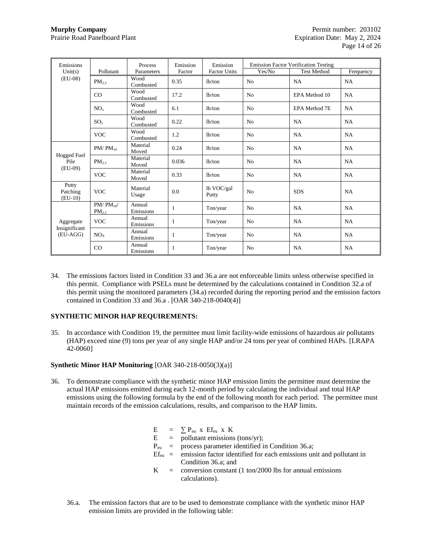| Emissions                              |                            | Process             | Emission | Emission            |                | <b>Emission Factor Verification Testing</b> |           |
|----------------------------------------|----------------------------|---------------------|----------|---------------------|----------------|---------------------------------------------|-----------|
| Unit(s)                                | Pollutant                  | Parameters          | Factor   | <b>Factor Units</b> | Yes/No         | <b>Test Method</b>                          | Frequency |
| $(EU-08)$                              | PM <sub>2.5</sub>          | Wood<br>Combusted   | 0.35     | 1 <sub>b</sub> /ton | No             | NA                                          | NA        |
|                                        | CO                         | Wood<br>Combusted   | 17.2     | 1 <sub>b</sub> /ton | No             | EPA Method 10                               | NA        |
|                                        | NO <sub>x</sub>            | Wood<br>Combusted   | 6.1      | 1 <sub>b</sub> /ton | No             | <b>EPA Method 7E</b>                        | NA        |
|                                        | SO <sub>2</sub>            | Wood<br>Combusted   | 0.22     | 1 <sub>b</sub> /ton | N <sub>0</sub> | NA                                          | NA        |
|                                        | <b>VOC</b>                 | Wood<br>Combusted   | 1.2      | 1 <sub>b</sub> /ton | N <sub>0</sub> | NA                                          | NA        |
|                                        | $PM/PM_{10}$               | Material<br>Moved   | 0.24     | 1 <sub>b</sub> /ton | No             | <b>NA</b>                                   | NA        |
| Hogged Fuel<br>Pile<br>$(EU-09)$       | PM <sub>2.5</sub>          | Material<br>Moved   | 0.036    | 1 <sub>b</sub> /ton | N <sub>o</sub> | NA                                          | NA        |
|                                        | <b>VOC</b>                 | Material<br>Moved   | 0.33     | 1 <sub>b</sub> /ton | No             | <b>NA</b>                                   | NA        |
| Putty<br>Patching<br>$(EU-10)$         | <b>VOC</b>                 | Material<br>Usage   | 0.0      | lb VOC/gal<br>Putty | No             | <b>SDS</b>                                  | NA        |
|                                        | $PM/PM_{10}$<br>$PM_{2.5}$ | Annual<br>Emissions | 1        | Ton/year            | N <sub>o</sub> | NA                                          | NA        |
| Aggregate<br>Insignificant<br>(EU-AGG) | <b>VOC</b>                 | Annual<br>Emissions | 1        | Ton/year            | No             | <b>NA</b>                                   | <b>NA</b> |
|                                        | NO <sub>x</sub>            | Annual<br>Emissions | 1        | Ton/year            | N <sub>o</sub> | NA                                          | <b>NA</b> |
|                                        | CO                         | Annual<br>Emissions | 1        | Ton/year            | N <sub>o</sub> | NA                                          | NA        |

34. The emissions factors listed in Condition [33](#page-12-0) an[d 36.a](#page-13-1) are not enforceable limits unless otherwise specified in this permit. Compliance with PSELs must be determined by the calculations contained in Condition [32.a](#page-11-1) of this permit using the monitored parameters (34.a) recorded during the reporting period and the emission factors contained in Conditio[n 33](#page-12-0) and [36.a](#page-13-1) . [OAR 340-218-0040(4)]

## **SYNTHETIC MINOR HAP REQUIREMENTS:**

35. In accordance with Condition [19,](#page-7-1) the permittee must limit facility-wide emissions of hazardous air pollutants (HAP) exceed nine (9) tons per year of any single HAP and/or 24 tons per year of combined HAPs. [LRAPA 42-0060]

## **Synthetic Minor HAP Monitoring** [OAR 340-218-0050(3)(a)]

- <span id="page-13-1"></span><span id="page-13-0"></span>36. To demonstrate compliance with the synthetic minor HAP emission limits the permittee must determine the actual HAP emissions emitted during each 12-month period by calculating the individual and total HAP emissions using the following formula by the end of the following month for each period. The permittee must maintain records of the emission calculations, results, and comparison to the HAP limits.
	- $E = \sum P_{eu} x E f_{eu} x K$
	- $E =$  pollutant emissions (tons/yr);
	- $P_{eu}$  = process parameter identified in Condition [36.a;](#page-13-1)
	- $Ef_{eu}$  = emission factor identified for each emissions unit and pollutant in Condition [36.a;](#page-13-1) and
	- $K =$  conversion constant (1 ton/2000 lbs for annual emissions calculations).
	- 36.a. The emission factors that are to be used to demonstrate compliance with the synthetic minor HAP emission limits are provided in the following table: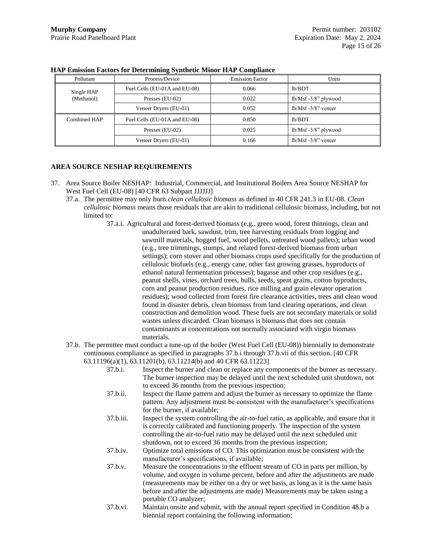|              | $\sim$                        |                        |                        |
|--------------|-------------------------------|------------------------|------------------------|
| Pollutant    | Process/Device                | <b>Emission Factor</b> | Units                  |
| Single HAP   | Fuel Cells (EU-01A and EU-08) | 0.066                  | lb/BDT                 |
| (Methanol)   | Presses $(EU-02)$             | 0.022                  | $lb/Msf -3/8"$ plywood |
|              | Veneer Dryers (EU-01)         | 0.052                  | $1b/Msf -3/8$ " veneer |
| Combined HAP | Fuel Cells (EU-01A and EU-08) | 0.850                  | lb/BDT                 |
|              | Presses $(EU-02)$             | 0.025                  | $lb/Msf -3/8"$ plywood |
|              | Veneer Dryers (EU-01)         | 0.166                  | $1b/Msf -3/8$ " veneer |

#### **HAP Emission Factors for Determining Synthetic Minor HAP Compliance**

## **AREA SOURCE NESHAP REQUIREMENTS**

- <span id="page-14-2"></span><span id="page-14-1"></span><span id="page-14-0"></span>37. Area Source Boiler NESHAP: Industrial, Commercial, and Institutional Boilers Area Source NESHAP for West Fuel Cell (EU-08) [40 CFR 63 Subpart JJJJJJ]
	- 37.a. The permittee may only burn *clean cellulosic biomass* as defined in 40 CFR 241.3 in EU-08. *Clean cellulosic biomass* means those residuals that are akin to traditional cellulosic biomass, including, but not limited to:
		- 37.a.i. Agricultural and forest-derived biomass (e.g., green wood, forest thinnings, clean and unadulterated bark, sawdust, trim, tree harvesting residuals from logging and sawmill materials, hogged fuel, wood pellets, untreated wood pallets); urban wood (e.g., tree trimmings, stumps, and related forest-derived biomass from urban settings); corn stover and other biomass crops used specifically for the production of cellulosic biofuels (e.g., energy cane, other fast growing grasses, byproducts of ethanol natural fermentation processes); bagasse and other crop residues (e.g., peanut shells, vines, orchard trees, hulls, seeds, spent grains, cotton byproducts, corn and peanut production residues, rice milling and grain elevator operation residues); wood collected from forest fire clearance activities, trees and clean wood found in disaster debris, clean biomass from land clearing operations, and clean construction and demolition wood. These fuels are not secondary materials or solid wastes unless discarded. Clean biomass is biomass that does not contain contaminants at concentrations not normally associated with virgin biomass materials.
	- 37.b. The permittee must conduct a tune-up of the boiler (West Fuel Cell (EU-08)) biennially to demonstrate continuous compliance as specified in paragraphs [37.b.i](#page-14-2) throug[h 37.b.vii](#page-15-3) of this section. [40 CFR 63.11196(a)(1), 63.11201(b), 63.11214(b) and 40 CFR 63.11223]
		- 37.b.i. Inspect the burner and clean or replace any components of the burner as necessary. The burner inspection may be delayed until the next scheduled unit shutdown, not to exceed 36 months from the previous inspection; 37.b.ii. Inspect the flame pattern and adjust the burner as necessary to optimize the flame pattern. Any adjustment must be consistent with the manufacturer's specifications for the burner, if available; 37.b.iii. Inspect the system controlling the air-to-fuel ratio, as applicable, and ensure that it is correctly calibrated and functioning properly. The inspection of the system controlling the air-to-fuel ratio may be delayed until the next scheduled unit shutdown, not to exceed 36 months from the previous inspection; 37.b.iv. Optimize total emissions of CO. This optimization must be consistent with the manufacturer's specifications, if available; 37.b.v. Measure the concentrations in the effluent stream of CO in parts per million, by volume, and oxygen in volume percent, before and after the adjustments are made (measurements may be either on a dry or wet basis, as long as it is the same basis before and after the adjustments are made) Measurements may be taken using a portable CO analyzer; 37.b.vi. Maintain onsite and submit, with the annual report specified in Conditio[n 48.b](#page-18-0) a
		- biennial report containing the following information;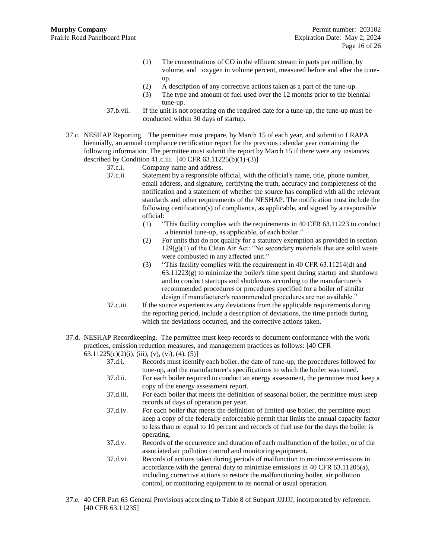- (1) The concentrations of CO in the effluent stream in parts per million, by volume, and oxygen in volume percent, measured before and after the tuneup.
- (2) A description of any corrective actions taken as a part of the tune-up.
- (3) The type and amount of fuel used over the 12 months prior to the biennial tune-up.
- 37.b.vii. If the unit is not operating on the required date for a tune-up, the tune-up must be conducted within 30 days of startup.
- <span id="page-15-3"></span><span id="page-15-0"></span>37.c. NESHAP Reporting. The permittee must prepare, by March 15 of each year, and submit to LRAPA biennially, an annual compliance certification report for the previous calendar year containing the following information. The permittee must submit the report by March 15 if there were any instances described by Condition 41.c.iii.  $[40 \text{ CFR } 63.11225(b)(1)-(3)]$ 
	- 37.c.i. Company name and address.
	- 37.c.ii. Statement by a responsible official, with the official's name, title, phone number, email address, and signature, certifying the truth, accuracy and completeness of the notification and a statement of whether the source has complied with all the relevant standards and other requirements of the NESHAP. The notification must include the following certification(s) of compliance, as applicable, and signed by a responsible official:
		- (1) "This facility complies with the requirements in 40 CFR 63.11223 to conduct a biennial tune-up, as applicable, of each boiler."
		- (2) For units that do not qualify for a statutory exemption as provided in section  $129(g)(1)$  of the Clean Air Act: "No secondary materials that are solid waste were combusted in any affected unit."
		- (3) "This facility complies with the requirement in 40 CFR 63.11214(d) and 63.11223(g) to minimize the boiler's time spent during startup and shutdown and to conduct startups and shutdowns according to the manufacturer's recommended procedures or procedures specified for a boiler of similar design if manufacturer's recommended procedures are not available."
	- 37.c.iii. If the source experiences any deviations from the applicable requirements during the reporting period, include a description of deviations, the time periods during which the deviations occurred, and the corrective actions taken.
- <span id="page-15-1"></span>37.d. NESHAP Recordkeeping. The permittee must keep records to document conformance with the work practices, emission reduction measures, and management practices as follows: [40 CFR  $63.11225(c)(2)(i), (iii), (v), (vi), (4), (5)$ ]
	- 37.d.i. Records must identify each boiler, the date of tune-up, the procedures followed for tune-up, and the manufacturer's specifications to which the boiler was tuned. 37.d.ii. For each boiler required to conduct an energy assessment, the permittee must keep a copy of the energy assessment report. 37.d.iii. For each boiler that meets the definition of seasonal boiler, the permittee must keep records of days of operation per year. 37.d.iv. For each boiler that meets the definition of limited-use boiler, the permittee must keep a copy of the federally enforceable permit that limits the annual capacity factor to less than or equal to 10 percent and records of fuel use for the days the boiler is operating. 37.d.v. Records of the occurrence and duration of each malfunction of the boiler, or of the associated air pollution control and monitoring equipment. 37.d.vi. Records of actions taken during periods of malfunction to minimize emissions in accordance with the general duty to minimize emissions in 40 CFR 63.11205(a), including corrective actions to restore the malfunctioning boiler, air pollution control, or monitoring equipment to its normal or usual operation.
- <span id="page-15-2"></span>37.e. 40 CFR Part 63 General Provisions according to Table 8 of Subpart JJJJJJ, incorporated by reference. [40 CFR 63.11235]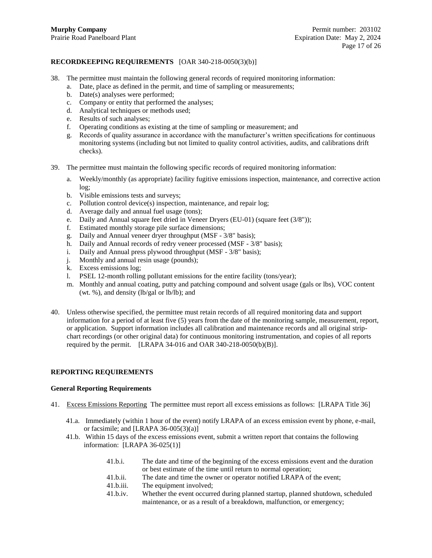## **RECORDKEEPING REQUIREMENTS** [OAR 340-218-0050(3)(b)]

- 38. The permittee must maintain the following general records of required monitoring information:
	- a. Date, place as defined in the permit, and time of sampling or measurements;
	- b. Date(s) analyses were performed;
	- c. Company or entity that performed the analyses;
	- d. Analytical techniques or methods used;
	- e. Results of such analyses;
	- f. Operating conditions as existing at the time of sampling or measurement; and
	- g. Records of quality assurance in accordance with the manufacturer's written specifications for continuous monitoring systems (including but not limited to quality control activities, audits, and calibrations drift checks).
- <span id="page-16-0"></span>39. The permittee must maintain the following specific records of required monitoring information:
	- a. Weekly/monthly (as appropriate) facility fugitive emissions inspection, maintenance, and corrective action log;
	- b. Visible emissions tests and surveys;
	- c. Pollution control device(s) inspection, maintenance, and repair log;
	- d. Average daily and annual fuel usage (tons);
	- e. Daily and Annual square feet dried in Veneer Dryers (EU-01) (square feet (3/8"));
	- f. Estimated monthly storage pile surface dimensions;
	- g. Daily and Annual veneer dryer throughput (MSF 3/8" basis);
	- h. Daily and Annual records of redry veneer processed (MSF 3/8" basis);
	- i. Daily and Annual press plywood throughput (MSF 3/8" basis);
	- j. Monthly and annual resin usage (pounds);
	- k. Excess emissions log;
	- l. PSEL 12-month rolling pollutant emissions for the entire facility (tons/year);
	- m. Monthly and annual coating, putty and patching compound and solvent usage (gals or lbs), VOC content (wt. %), and density (lb/gal or lb/lb); and
- 40. Unless otherwise specified, the permittee must retain records of all required monitoring data and support information for a period of at least five (5) years from the date of the monitoring sample, measurement, report, or application. Support information includes all calibration and maintenance records and all original stripchart recordings (or other original data) for continuous monitoring instrumentation, and copies of all reports required by the permit. [LRAPA 34-016 and OAR 340-218-0050(b)(B)].

## **REPORTING REQUIREMENTS**

#### **General Reporting Requirements**

- <span id="page-16-1"></span>41. Excess Emissions Reporting The permittee must report all excess emissions as follows: [LRAPA Title 36]
	- 41.a. Immediately (within 1 hour of the event) notify LRAPA of an excess emission event by phone, e-mail, or facsimile; and [LRAPA  $36-005(3)(a)$ ]
	- 41.b. Within 15 days of the excess emissions event, submit a written report that contains the following information: [LRAPA 36-025(1)]
		- 41.b.i. The date and time of the beginning of the excess emissions event and the duration or best estimate of the time until return to normal operation;
		- 41.b.ii. The date and time the owner or operator notified LRAPA of the event;
		- 41.b.iii. The equipment involved;
		- 41.b.iv. Whether the event occurred during planned startup, planned shutdown, scheduled maintenance, or as a result of a breakdown, malfunction, or emergency;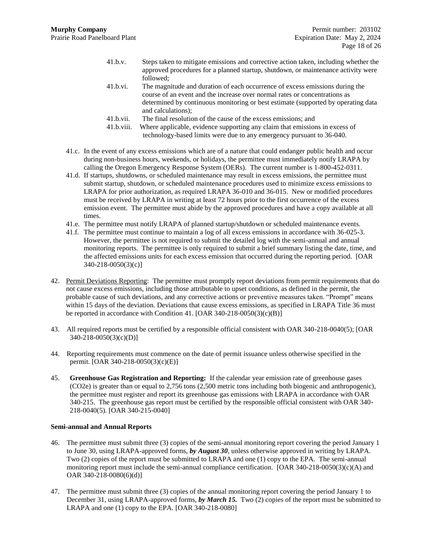- 41.b.v. Steps taken to mitigate emissions and corrective action taken, including whether the approved procedures for a planned startup, shutdown, or maintenance activity were followed;
- 41.b.vi. The magnitude and duration of each occurrence of excess emissions during the course of an event and the increase over normal rates or concentrations as determined by continuous monitoring or best estimate (supported by operating data and calculations);
- 41.b.vii. The final resolution of the cause of the excess emissions; and
- 41.b.viii. Where applicable, evidence supporting any claim that emissions in excess of technology-based limits were due to any emergency pursuant to 36-040.
- 41.c. In the event of any excess emissions which are of a nature that could endanger public health and occur during non-business hours, weekends, or holidays, the permittee must immediately notify LRAPA by calling the Oregon Emergency Response System (OERs). The current number is 1-800-452-0311.
- 41.d. If startups, shutdowns, or scheduled maintenance may result in excess emissions, the permittee must submit startup, shutdown, or scheduled maintenance procedures used to minimize excess emissions to LRAPA for prior authorization, as required LRAPA 36-010 and 36-015. New or modified procedures must be received by LRAPA in writing at least 72 hours prior to the first occurrence of the excess emission event. The permittee must abide by the approved procedures and have a copy available at all times.
- 41.e. The permittee must notify LRAPA of planned startup/shutdown or scheduled maintenance events.
- 41.f. The permittee must continue to maintain a log of all excess emissions in accordance with 36-025-3. However, the permittee is not required to submit the detailed log with the semi-annual and annual monitoring reports. The permittee is only required to submit a brief summary listing the date, time, and the affected emissions units for each excess emission that occurred during the reporting period. [OAR 340-218-0050(3)(c)]
- 42. Permit Deviations Reporting: The permittee must promptly report deviations from permit requirements that do not cause excess emissions, including those attributable to upset conditions, as defined in the permit, the probable cause of such deviations, and any corrective actions or preventive measures taken. "Prompt" means within 15 days of the deviation. Deviations that cause excess emissions, as specified in LRAPA Title 36 must be reported in accordance with Condition [41.](#page-16-1) [OAR 340-218-0050(3)(c)(B)]
- 43. All required reports must be certified by a responsible official consistent with OAR 340-218-0040(5); [OAR 340-218-0050(3)(c)(D)]
- 44. Reporting requirements must commence on the date of permit issuance unless otherwise specified in the permit. [OAR 340-218-0050(3)(c)(E)]
- <span id="page-17-0"></span>45. **Greenhouse Gas Registration and Reporting:** If the calendar year emission rate of greenhouse gases (CO2e) is greater than or equal to 2,756 tons (2,500 metric tons including both biogenic and anthropogenic), the permittee must register and report its greenhouse gas emissions with LRAPA in accordance with OAR 340-215. The greenhouse gas report must be certified by the responsible official consistent with OAR 340- 218-0040(5). [OAR 340-215-0040]

## **Semi-annual and Annual Reports**

- 46. The permittee must submit three (3) copies of the semi-annual monitoring report covering the period January 1 to June 30, using LRAPA-approved forms, *by August 30*, unless otherwise approved in writing by LRAPA. Two (2) copies of the report must be submitted to LRAPA and one (1) copy to the EPA. The semi-annual monitoring report must include the semi-annual compliance certification. [OAR 340-218-0050(3)(c)(A) and OAR 340-218-0080(6)(d)]
- 47. The permittee must submit three (3) copies of the annual monitoring report covering the period January 1 to December 31, using LRAPA-approved forms, *by March 15.* Two (2) copies of the report must be submitted to LRAPA and one (1) copy to the EPA. [OAR 340-218-0080]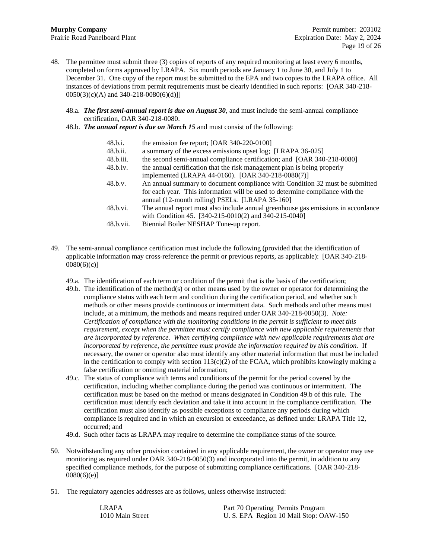- 48. The permittee must submit three (3) copies of reports of any required monitoring at least every 6 months, completed on forms approved by LRAPA. Six month periods are January 1 to June 30, and July 1 to December 31. One copy of the report must be submitted to the EPA and two copies to the LRAPA office. All instances of deviations from permit requirements must be clearly identified in such reports: [OAR 340-218-  $0050(3)(c)(A)$  and 340-218-0080(6)(d)]]
	- 48.a. *The first semi-annual report is due on August 30*, and must include the semi-annual compliance certification, OAR 340-218-0080.
	- 48.b. *The annual report is due on March 15* and must consist of the following:

<span id="page-18-0"></span>

| 48.b.i.   | the emission fee report; [OAR 340-220-0100]                                                                                                                   |
|-----------|---------------------------------------------------------------------------------------------------------------------------------------------------------------|
| 48.b.ii.  | a summary of the excess emissions upset log; [LRAPA 36-025]                                                                                                   |
| 48.b.iii. | the second semi-annual compliance certification; and [OAR 340-218-0080]                                                                                       |
| 48.b.iv.  | the annual certification that the risk management plan is being properly                                                                                      |
|           | implemented (LRAPA 44-0160). [OAR 340-218-0080(7)]                                                                                                            |
| 48.b.v.   | An annual summary to document compliance with Condition 32 must be submitted<br>for each year. This information will be used to determine compliance with the |
|           | annual (12-month rolling) PSELs. [LRAPA 35-160]                                                                                                               |
| 48.b.vi.  | The annual report must also include annual greenhouse gas emissions in accordance<br>with Condition 45. [340-215-0010(2) and 340-215-0040]                    |
| 48.b.vii. | Biennial Boiler NESHAP Tune-up report.                                                                                                                        |
|           |                                                                                                                                                               |

- <span id="page-18-1"></span>49. The semi-annual compliance certification must include the following (provided that the identification of applicable information may cross-reference the permit or previous reports, as applicable): [OAR 340-218-  $0080(6)(c)$ ]
	- 49.a. The identification of each term or condition of the permit that is the basis of the certification;
	- 49.b. The identification of the method(s) or other means used by the owner or operator for determining the compliance status with each term and condition during the certification period, and whether such methods or other means provide continuous or intermittent data. Such methods and other means must include, at a minimum, the methods and means required under OAR 340-218-0050(3). *Note: Certification of compliance with the monitoring conditions in the permit is sufficient to meet this requirement, except when the permittee must certify compliance with new applicable requirements that are incorporated by reference. When certifying compliance with new applicable requirements that are incorporated by reference, the permittee must provide the information required by this condition.* If necessary, the owner or operator also must identify any other material information that must be included in the certification to comply with section  $113(c)(2)$  of the FCAA, which prohibits knowingly making a false certification or omitting material information;
	- 49.c. The status of compliance with terms and conditions of the permit for the period covered by the certification, including whether compliance during the period was continuous or intermittent. The certification must be based on the method or means designated in Condition [49.b](#page-18-1) of this rule. The certification must identify each deviation and take it into account in the compliance certification. The certification must also identify as possible exceptions to compliance any periods during which compliance is required and in which an excursion or exceedance, as defined under LRAPA Title 12, occurred; and
	- 49.d. Such other facts as LRAPA may require to determine the compliance status of the source.
- 50. Notwithstanding any other provision contained in any applicable requirement, the owner or operator may use monitoring as required under OAR 340-218-0050(3) and incorporated into the permit, in addition to any specified compliance methods, for the purpose of submitting compliance certifications. [OAR 340-218-  $0080(6)(e)]$
- 51. The regulatory agencies addresses are as follows, unless otherwise instructed:

| LRAPA            | Part 70 Operating Permits Program      |
|------------------|----------------------------------------|
| 1010 Main Street | U. S. EPA Region 10 Mail Stop: OAW-150 |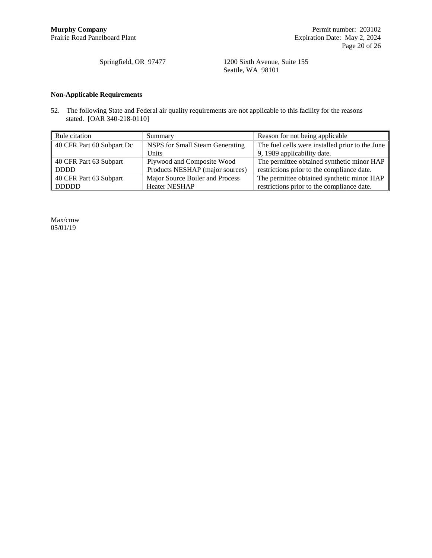Springfield, OR 97477 1200 Sixth Avenue, Suite 155 Seattle, WA 98101

## **Non-Applicable Requirements**

52. The following State and Federal air quality requirements are not applicable to this facility for the reasons stated. [OAR 340-218-0110]

| Rule citation                                                | Summary                         | Reason for not being applicable                 |
|--------------------------------------------------------------|---------------------------------|-------------------------------------------------|
| 40 CFR Part 60 Subpart Dc<br>NSPS for Small Steam Generating |                                 | The fuel cells were installed prior to the June |
|                                                              | Units                           | 9, 1989 applicability date.                     |
| 40 CFR Part 63 Subpart                                       | Plywood and Composite Wood      | The permittee obtained synthetic minor HAP      |
| <b>DDDD</b>                                                  | Products NESHAP (major sources) | restrictions prior to the compliance date.      |
| 40 CFR Part 63 Subpart                                       | Major Source Boiler and Process | The permittee obtained synthetic minor HAP      |
| <b>DDDDD</b>                                                 | <b>Heater NESHAP</b>            | restrictions prior to the compliance date.      |

Max/cmw 05/01/19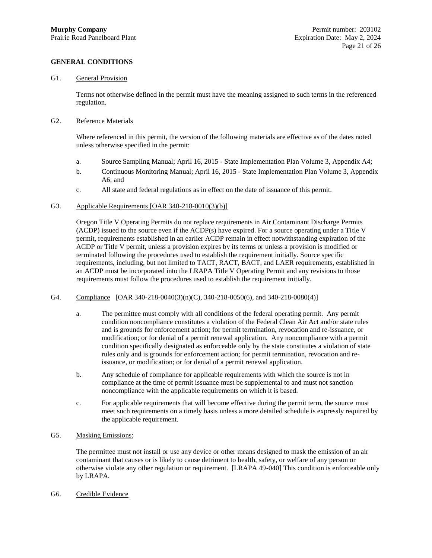## **GENERAL CONDITIONS**

#### G1. General Provision

Terms not otherwise defined in the permit must have the meaning assigned to such terms in the referenced regulation.

## G2. Reference Materials

Where referenced in this permit, the version of the following materials are effective as of the dates noted unless otherwise specified in the permit:

- a. Source Sampling Manual; April 16, 2015 State Implementation Plan Volume 3, Appendix A4;
- b. Continuous Monitoring Manual; April 16, 2015 State Implementation Plan Volume 3, Appendix A6; and
- c. All state and federal regulations as in effect on the date of issuance of this permit.

#### G3. Applicable Requirements [OAR 340-218-0010(3)(b)]

Oregon Title V Operating Permits do not replace requirements in Air Contaminant Discharge Permits (ACDP) issued to the source even if the ACDP(s) have expired. For a source operating under a Title V permit, requirements established in an earlier ACDP remain in effect notwithstanding expiration of the ACDP or Title V permit, unless a provision expires by its terms or unless a provision is modified or terminated following the procedures used to establish the requirement initially. Source specific requirements, including, but not limited to TACT, RACT, BACT, and LAER requirements, established in an ACDP must be incorporated into the LRAPA Title V Operating Permit and any revisions to those requirements must follow the procedures used to establish the requirement initially.

#### G4. Compliance [OAR 340-218-0040(3)(n)(C), 340-218-0050(6), and 340-218-0080(4)]

- a. The permittee must comply with all conditions of the federal operating permit. Any permit condition noncompliance constitutes a violation of the Federal Clean Air Act and/or state rules and is grounds for enforcement action; for permit termination, revocation and re-issuance, or modification; or for denial of a permit renewal application. Any noncompliance with a permit condition specifically designated as enforceable only by the state constitutes a violation of state rules only and is grounds for enforcement action; for permit termination, revocation and reissuance, or modification; or for denial of a permit renewal application.
- b. Any schedule of compliance for applicable requirements with which the source is not in compliance at the time of permit issuance must be supplemental to and must not sanction noncompliance with the applicable requirements on which it is based.
- c. For applicable requirements that will become effective during the permit term, the source must meet such requirements on a timely basis unless a more detailed schedule is expressly required by the applicable requirement.

## G5. Masking Emissions:

The permittee must not install or use any device or other means designed to mask the emission of an air contaminant that causes or is likely to cause detriment to health, safety, or welfare of any person or otherwise violate any other regulation or requirement. [LRAPA 49-040] This condition is enforceable only by LRAPA.

G6. Credible Evidence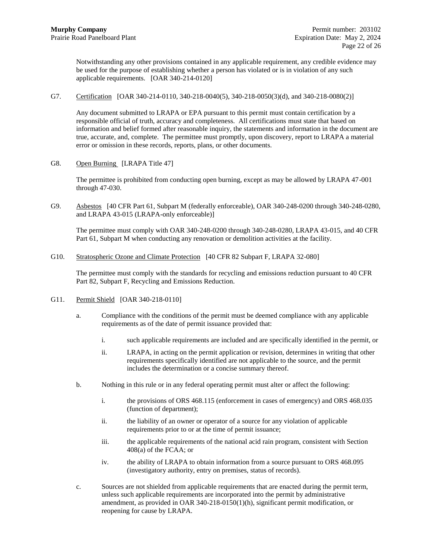Notwithstanding any other provisions contained in any applicable requirement, any credible evidence may be used for the purpose of establishing whether a person has violated or is in violation of any such applicable requirements. [OAR 340-214-0120]

G7. Certification [OAR 340-214-0110, 340-218-0040(5), 340-218-0050(3)(d), and 340-218-0080(2)]

Any document submitted to LRAPA or EPA pursuant to this permit must contain certification by a responsible official of truth, accuracy and completeness. All certifications must state that based on information and belief formed after reasonable inquiry, the statements and information in the document are true, accurate, and, complete. The permittee must promptly, upon discovery, report to LRAPA a material error or omission in these records, reports, plans, or other documents.

G8. Open Burning [LRAPA Title 47]

The permittee is prohibited from conducting open burning, except as may be allowed by LRAPA 47-001 through 47-030.

G9. Asbestos [40 CFR Part 61, Subpart M (federally enforceable), OAR 340-248-0200 through 340-248-0280, and LRAPA 43-015 (LRAPA-only enforceable)]

The permittee must comply with OAR 340-248-0200 through 340-248-0280, LRAPA 43-015, and 40 CFR Part 61, Subpart M when conducting any renovation or demolition activities at the facility.

G10. Stratospheric Ozone and Climate Protection [40 CFR 82 Subpart F, LRAPA 32-080]

The permittee must comply with the standards for recycling and emissions reduction pursuant to 40 CFR Part 82, Subpart F, Recycling and Emissions Reduction.

- G11. Permit Shield [OAR 340-218-0110]
	- a. Compliance with the conditions of the permit must be deemed compliance with any applicable requirements as of the date of permit issuance provided that:
		- i. such applicable requirements are included and are specifically identified in the permit, or
		- ii. LRAPA, in acting on the permit application or revision, determines in writing that other requirements specifically identified are not applicable to the source, and the permit includes the determination or a concise summary thereof.
	- b. Nothing in this rule or in any federal operating permit must alter or affect the following:
		- i. the provisions of ORS 468.115 (enforcement in cases of emergency) and ORS 468.035 (function of department);
		- ii. the liability of an owner or operator of a source for any violation of applicable requirements prior to or at the time of permit issuance;
		- iii. the applicable requirements of the national acid rain program, consistent with Section 408(a) of the FCAA; or
		- iv. the ability of LRAPA to obtain information from a source pursuant to ORS 468.095 (investigatory authority, entry on premises, status of records).
	- c. Sources are not shielded from applicable requirements that are enacted during the permit term, unless such applicable requirements are incorporated into the permit by administrative amendment, as provided in OAR 340-218-0150(1)(h), significant permit modification, or reopening for cause by LRAPA.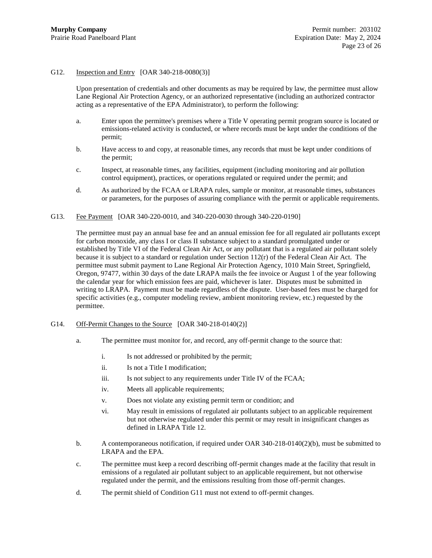#### G12. Inspection and Entry [OAR 340-218-0080(3)]

Upon presentation of credentials and other documents as may be required by law, the permittee must allow Lane Regional Air Protection Agency, or an authorized representative (including an authorized contractor acting as a representative of the EPA Administrator), to perform the following:

- a. Enter upon the permittee's premises where a Title V operating permit program source is located or emissions-related activity is conducted, or where records must be kept under the conditions of the permit;
- b. Have access to and copy, at reasonable times, any records that must be kept under conditions of the permit;
- c. Inspect, at reasonable times, any facilities, equipment (including monitoring and air pollution control equipment), practices, or operations regulated or required under the permit; and
- d. As authorized by the FCAA or LRAPA rules, sample or monitor, at reasonable times, substances or parameters, for the purposes of assuring compliance with the permit or applicable requirements.
- G13. Fee Payment [OAR 340-220-0010, and 340-220-0030 through 340-220-0190]

The permittee must pay an annual base fee and an annual emission fee for all regulated air pollutants except for carbon monoxide, any class I or class II substance subject to a standard promulgated under or established by Title VI of the Federal Clean Air Act, or any pollutant that is a regulated air pollutant solely because it is subject to a standard or regulation under Section  $112(r)$  of the Federal Clean Air Act. The permittee must submit payment to Lane Regional Air Protection Agency, 1010 Main Street, Springfield, Oregon, 97477, within 30 days of the date LRAPA mails the fee invoice or August 1 of the year following the calendar year for which emission fees are paid, whichever is later. Disputes must be submitted in writing to LRAPA. Payment must be made regardless of the dispute. User-based fees must be charged for specific activities (e.g., computer modeling review, ambient monitoring review, etc.) requested by the permittee.

- G14. Off-Permit Changes to the Source [OAR 340-218-0140(2)]
	- a. The permittee must monitor for, and record, any off-permit change to the source that:
		- i. Is not addressed or prohibited by the permit;
		- ii. Is not a Title I modification;
		- iii. Is not subject to any requirements under Title IV of the FCAA;
		- iv. Meets all applicable requirements;
		- v. Does not violate any existing permit term or condition; and
		- vi. May result in emissions of regulated air pollutants subject to an applicable requirement but not otherwise regulated under this permit or may result in insignificant changes as defined in LRAPA Title 12.
	- b. A contemporaneous notification, if required under OAR 340-218-0140(2)(b), must be submitted to LRAPA and the EPA.
	- c. The permittee must keep a record describing off-permit changes made at the facility that result in emissions of a regulated air pollutant subject to an applicable requirement, but not otherwise regulated under the permit, and the emissions resulting from those off-permit changes.
	- d. The permit shield of Condition G11 must not extend to off-permit changes.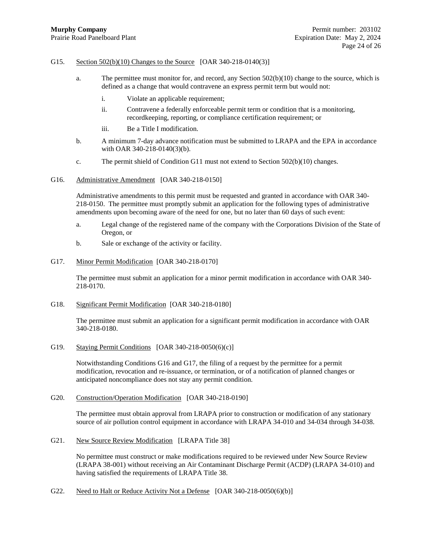#### G15. Section 502(b)(10) Changes to the Source [OAR 340-218-0140(3)]

- a. The permittee must monitor for, and record, any Section 502(b)(10) change to the source, which is defined as a change that would contravene an express permit term but would not:
	- i. Violate an applicable requirement;
	- ii. Contravene a federally enforceable permit term or condition that is a monitoring, recordkeeping, reporting, or compliance certification requirement; or
	- iii. Be a Title I modification.
- b. A minimum 7-day advance notification must be submitted to LRAPA and the EPA in accordance with OAR 340-218-0140(3)(b).
- c. The permit shield of Condition G11 must not extend to Section 502(b)(10) changes.

#### <span id="page-23-0"></span>G16. Administrative Amendment [OAR 340-218-0150]

Administrative amendments to this permit must be requested and granted in accordance with OAR 340- 218-0150. The permittee must promptly submit an application for the following types of administrative amendments upon becoming aware of the need for one, but no later than 60 days of such event:

- a. Legal change of the registered name of the company with the Corporations Division of the State of Oregon, or
- b. Sale or exchange of the activity or facility.

#### <span id="page-23-1"></span>G17. Minor Permit Modification [OAR 340-218-0170]

The permittee must submit an application for a minor permit modification in accordance with OAR 340- 218-0170.

G18. Significant Permit Modification [OAR 340-218-0180]

The permittee must submit an application for a significant permit modification in accordance with OAR 340-218-0180.

G19. Staying Permit Conditions [OAR 340-218-0050(6)(c)]

Notwithstanding Conditions [G16](#page-23-0) and [G17,](#page-23-1) the filing of a request by the permittee for a permit modification, revocation and re-issuance, or termination, or of a notification of planned changes or anticipated noncompliance does not stay any permit condition.

#### G20. Construction/Operation Modification [OAR 340-218-0190]

The permittee must obtain approval from LRAPA prior to construction or modification of any stationary source of air pollution control equipment in accordance with LRAPA 34-010 and 34-034 through 34-038.

G21. New Source Review Modification [LRAPA Title 38]

No permittee must construct or make modifications required to be reviewed under New Source Review (LRAPA 38-001) without receiving an Air Contaminant Discharge Permit (ACDP) (LRAPA 34-010) and having satisfied the requirements of LRAPA Title 38.

G22. Need to Halt or Reduce Activity Not a Defense [OAR 340-218-0050(6)(b)]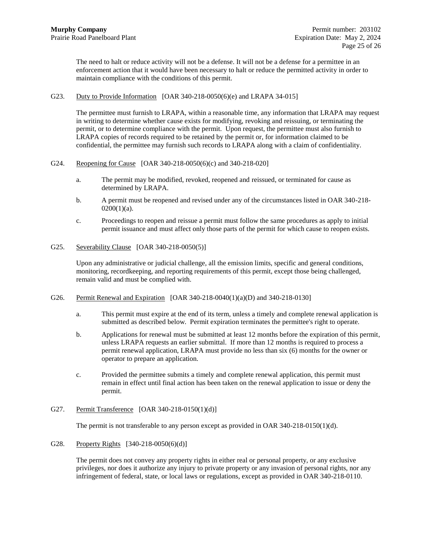The need to halt or reduce activity will not be a defense. It will not be a defense for a permittee in an enforcement action that it would have been necessary to halt or reduce the permitted activity in order to maintain compliance with the conditions of this permit.

G23. Duty to Provide Information [OAR 340-218-0050(6)(e) and LRAPA 34-015]

The permittee must furnish to LRAPA, within a reasonable time, any information that LRAPA may request in writing to determine whether cause exists for modifying, revoking and reissuing, or terminating the permit, or to determine compliance with the permit. Upon request, the permittee must also furnish to LRAPA copies of records required to be retained by the permit or, for information claimed to be confidential, the permittee may furnish such records to LRAPA along with a claim of confidentiality.

- G24. Reopening for Cause [OAR 340-218-0050(6)(c) and 340-218-020]
	- a. The permit may be modified, revoked, reopened and reissued, or terminated for cause as determined by LRAPA.
	- b. A permit must be reopened and revised under any of the circumstances listed in OAR 340-218-  $0200(1)(a)$ .
	- c. Proceedings to reopen and reissue a permit must follow the same procedures as apply to initial permit issuance and must affect only those parts of the permit for which cause to reopen exists.
- G25. Severability Clause [OAR 340-218-0050(5)]

Upon any administrative or judicial challenge, all the emission limits, specific and general conditions, monitoring, recordkeeping, and reporting requirements of this permit, except those being challenged, remain valid and must be complied with.

- G26. Permit Renewal and Expiration [OAR 340-218-0040(1)(a)(D) and 340-218-0130]
	- a. This permit must expire at the end of its term, unless a timely and complete renewal application is submitted as described below. Permit expiration terminates the permittee's right to operate.
	- b. Applications for renewal must be submitted at least 12 months before the expiration of this permit, unless LRAPA requests an earlier submittal. If more than 12 months is required to process a permit renewal application, LRAPA must provide no less than six (6) months for the owner or operator to prepare an application.
	- c. Provided the permittee submits a timely and complete renewal application, this permit must remain in effect until final action has been taken on the renewal application to issue or deny the permit.
- G27. Permit Transference [OAR 340-218-0150(1)(d)]

The permit is not transferable to any person except as provided in OAR 340-218-0150(1)(d).

G28. Property Rights [340-218-0050(6)(d)]

The permit does not convey any property rights in either real or personal property, or any exclusive privileges, nor does it authorize any injury to private property or any invasion of personal rights, nor any infringement of federal, state, or local laws or regulations, except as provided in OAR 340-218-0110.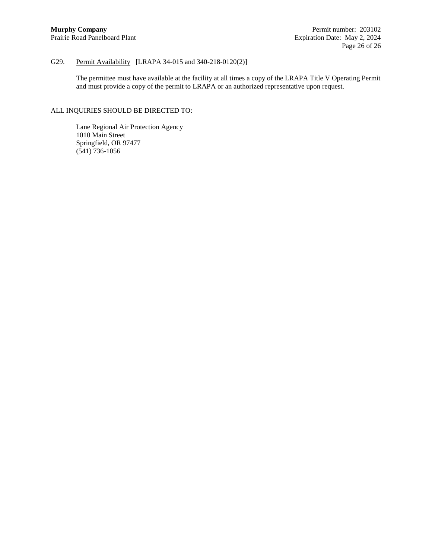## G29. Permit Availability [LRAPA 34-015 and 340-218-0120(2)]

The permittee must have available at the facility at all times a copy of the LRAPA Title V Operating Permit and must provide a copy of the permit to LRAPA or an authorized representative upon request.

# ALL INQUIRIES SHOULD BE DIRECTED TO:

Lane Regional Air Protection Agency 1010 Main Street Springfield, OR 97477 (541) 736-1056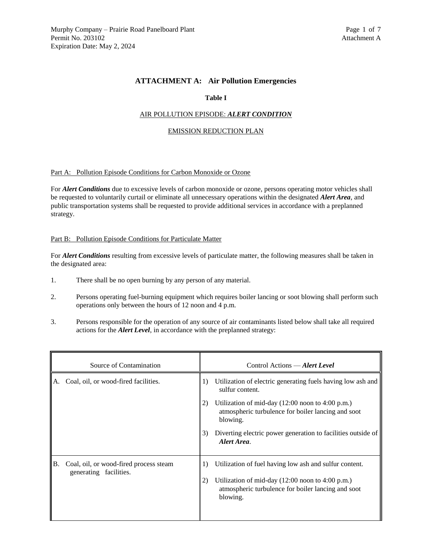## **ATTACHMENT A: Air Pollution Emergencies**

## **Table I**

#### AIR POLLUTION EPISODE: *ALERT CONDITION*

#### EMISSION REDUCTION PLAN

#### Part A: Pollution Episode Conditions for Carbon Monoxide or Ozone

For *Alert Conditions* due to excessive levels of carbon monoxide or ozone, persons operating motor vehicles shall be requested to voluntarily curtail or eliminate all unnecessary operations within the designated *Alert Area*, and public transportation systems shall be requested to provide additional services in accordance with a preplanned strategy.

#### Part B: Pollution Episode Conditions for Particulate Matter

For *Alert Conditions* resulting from excessive levels of particulate matter, the following measures shall be taken in the designated area:

- 1. There shall be no open burning by any person of any material.
- 2. Persons operating fuel-burning equipment which requires boiler lancing or soot blowing shall perform such operations only between the hours of 12 noon and 4 p.m.
- 3. Persons responsible for the operation of any source of air contaminants listed below shall take all required actions for the *Alert Level*, in accordance with the preplanned strategy:

| Source of Contamination |                                                                  | Control Actions — Alert Level |                                                                                                                                                                                                 |
|-------------------------|------------------------------------------------------------------|-------------------------------|-------------------------------------------------------------------------------------------------------------------------------------------------------------------------------------------------|
| А.                      | Coal, oil, or wood-fired facilities.                             | 1)                            | Utilization of electric generating fuels having low ash and<br>sulfur content.                                                                                                                  |
|                         |                                                                  | 2)                            | Utilization of mid-day $(12:00 \text{ noon to } 4:00 \text{ p.m.})$<br>atmospheric turbulence for boiler lancing and soot<br>blowing.                                                           |
|                         |                                                                  | 3)                            | Diverting electric power generation to facilities outside of<br>Alert Area.                                                                                                                     |
| B.                      | Coal, oil, or wood-fired process steam<br>generating facilities. | $\left  \right $<br>2)        | Utilization of fuel having low ash and sulfur content.<br>Utilization of mid-day $(12:00 \text{ noon to } 4:00 \text{ p.m.})$<br>atmospheric turbulence for boiler lancing and soot<br>blowing. |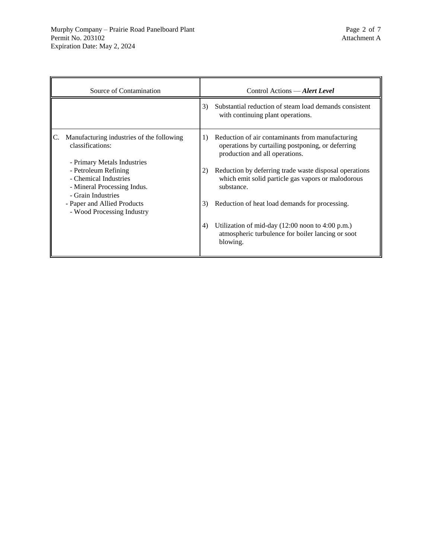| Source of Contamination |                                                                                                    | Control Actions - Alert Level |                                                                                                                                         |
|-------------------------|----------------------------------------------------------------------------------------------------|-------------------------------|-----------------------------------------------------------------------------------------------------------------------------------------|
|                         |                                                                                                    | 3)                            | Substantial reduction of steam load demands consistent<br>with continuing plant operations.                                             |
|                         | Manufacturing industries of the following<br>classifications:<br>- Primary Metals Industries       | 1)                            | Reduction of air contaminants from manufacturing<br>operations by curtailing postponing, or deferring<br>production and all operations. |
|                         | - Petroleum Refining<br>- Chemical Industries<br>- Mineral Processing Indus.<br>- Grain Industries | 2)                            | Reduction by deferring trade waste disposal operations<br>which emit solid particle gas vapors or malodorous<br>substance.              |
|                         | - Paper and Allied Products<br>- Wood Processing Industry                                          | 3)                            | Reduction of heat load demands for processing.                                                                                          |
|                         |                                                                                                    | 4)                            | Utilization of mid-day $(12:00 \text{ noon to } 4:00 \text{ p.m.})$<br>atmospheric turbulence for boiler lancing or soot<br>blowing.    |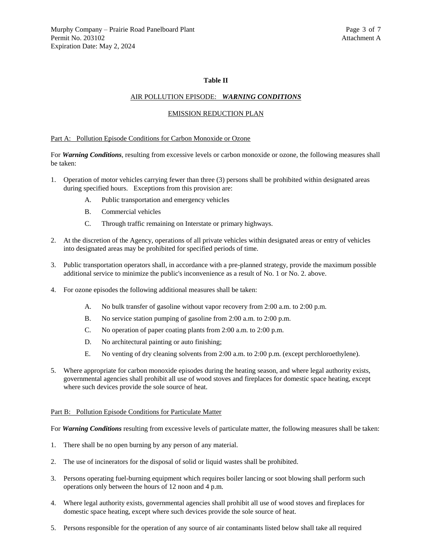#### **Table II**

#### AIR POLLUTION EPISODE: *WARNING CONDITIONS*

#### EMISSION REDUCTION PLAN

#### Part A: Pollution Episode Conditions for Carbon Monoxide or Ozone

For *Warning Conditions*, resulting from excessive levels or carbon monoxide or ozone, the following measures shall be taken:

- 1. Operation of motor vehicles carrying fewer than three (3) persons shall be prohibited within designated areas during specified hours. Exceptions from this provision are:
	- A. Public transportation and emergency vehicles
	- B. Commercial vehicles
	- C. Through traffic remaining on Interstate or primary highways.
- 2. At the discretion of the Agency, operations of all private vehicles within designated areas or entry of vehicles into designated areas may be prohibited for specified periods of time.
- 3. Public transportation operators shall, in accordance with a pre-planned strategy, provide the maximum possible additional service to minimize the public's inconvenience as a result of No. 1 or No. 2. above.
- 4. For ozone episodes the following additional measures shall be taken:
	- A. No bulk transfer of gasoline without vapor recovery from 2:00 a.m. to 2:00 p.m.
	- B. No service station pumping of gasoline from 2:00 a.m. to 2:00 p.m.
	- C. No operation of paper coating plants from 2:00 a.m. to 2:00 p.m.
	- D. No architectural painting or auto finishing;
	- E. No venting of dry cleaning solvents from 2:00 a.m. to 2:00 p.m. (except perchloroethylene).
- 5. Where appropriate for carbon monoxide episodes during the heating season, and where legal authority exists, governmental agencies shall prohibit all use of wood stoves and fireplaces for domestic space heating, except where such devices provide the sole source of heat.

#### Part B: Pollution Episode Conditions for Particulate Matter

For *Warning Conditions* resulting from excessive levels of particulate matter, the following measures shall be taken:

- 1. There shall be no open burning by any person of any material.
- 2. The use of incinerators for the disposal of solid or liquid wastes shall be prohibited.
- 3. Persons operating fuel-burning equipment which requires boiler lancing or soot blowing shall perform such operations only between the hours of 12 noon and 4 p.m.
- 4. Where legal authority exists, governmental agencies shall prohibit all use of wood stoves and fireplaces for domestic space heating, except where such devices provide the sole source of heat.
- 5. Persons responsible for the operation of any source of air contaminants listed below shall take all required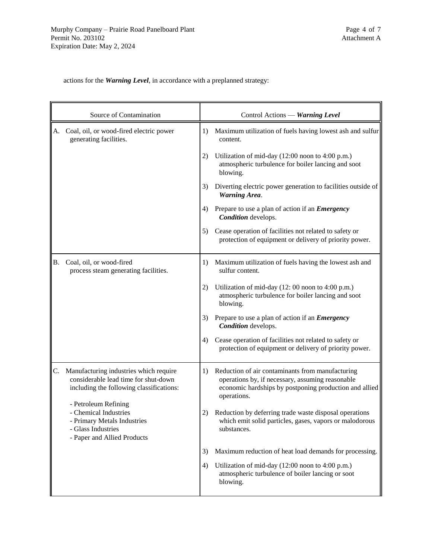actions for the *Warning Level*, in accordance with a preplanned strategy:

| Source of Contamination |                                                                                                                                   |    | Control Actions — Warning Level                                                                                                                                               |  |
|-------------------------|-----------------------------------------------------------------------------------------------------------------------------------|----|-------------------------------------------------------------------------------------------------------------------------------------------------------------------------------|--|
| A.                      | Coal, oil, or wood-fired electric power<br>generating facilities.                                                                 | 1) | Maximum utilization of fuels having lowest ash and sulfur<br>content.                                                                                                         |  |
|                         |                                                                                                                                   | 2) | Utilization of mid-day (12:00 noon to 4:00 p.m.)<br>atmospheric turbulence for boiler lancing and soot<br>blowing.                                                            |  |
|                         |                                                                                                                                   | 3) | Diverting electric power generation to facilities outside of<br><b>Warning Area.</b>                                                                                          |  |
|                         |                                                                                                                                   | 4) | Prepare to use a plan of action if an <i>Emergency</i><br>Condition develops.                                                                                                 |  |
|                         |                                                                                                                                   | 5) | Cease operation of facilities not related to safety or<br>protection of equipment or delivery of priority power.                                                              |  |
| В.                      | Coal, oil, or wood-fired<br>process steam generating facilities.                                                                  | 1) | Maximum utilization of fuels having the lowest ash and<br>sulfur content.                                                                                                     |  |
|                         |                                                                                                                                   | 2) | Utilization of mid-day (12: 00 noon to 4:00 p.m.)<br>atmospheric turbulence for boiler lancing and soot<br>blowing.                                                           |  |
|                         |                                                                                                                                   | 3) | Prepare to use a plan of action if an <i>Emergency</i><br>Condition develops.                                                                                                 |  |
|                         |                                                                                                                                   | 4) | Cease operation of facilities not related to safety or<br>protection of equipment or delivery of priority power.                                                              |  |
| C.                      | Manufacturing industries which require<br>considerable lead time for shut-down<br>including the following classifications:        | 1) | Reduction of air contaminants from manufacturing<br>operations by, if necessary, assuming reasonable<br>economic hardships by postponing production and allied<br>operations. |  |
|                         | - Petroleum Refining<br>- Chemical Industries<br>- Primary Metals Industries<br>- Glass Industries<br>- Paper and Allied Products | 2) | Reduction by deferring trade waste disposal operations<br>which emit solid particles, gases, vapors or malodorous<br>substances.                                              |  |
|                         |                                                                                                                                   | 3) | Maximum reduction of heat load demands for processing.                                                                                                                        |  |
|                         |                                                                                                                                   | 4) | Utilization of mid-day (12:00 noon to 4:00 p.m.)<br>atmospheric turbulence of boiler lancing or soot<br>blowing.                                                              |  |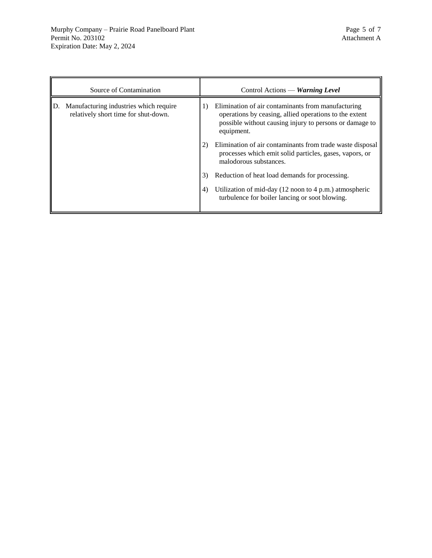| Source of Contamination |                                                                                |    | Control Actions — Warning Level                                                                                                                                                       |
|-------------------------|--------------------------------------------------------------------------------|----|---------------------------------------------------------------------------------------------------------------------------------------------------------------------------------------|
| ID.                     | Manufacturing industries which require<br>relatively short time for shut-down. | 1) | Elimination of air contaminants from manufacturing<br>operations by ceasing, allied operations to the extent<br>possible without causing injury to persons or damage to<br>equipment. |
|                         |                                                                                | 2) | Elimination of air contaminants from trade waste disposal<br>processes which emit solid particles, gases, vapors, or<br>malodorous substances.                                        |
|                         |                                                                                | 3) | Reduction of heat load demands for processing.                                                                                                                                        |
|                         |                                                                                | 4) | Utilization of mid-day $(12 \text{ noon to } 4 \text{ p.m.})$ atmospheric<br>turbulence for boiler lancing or soot blowing.                                                           |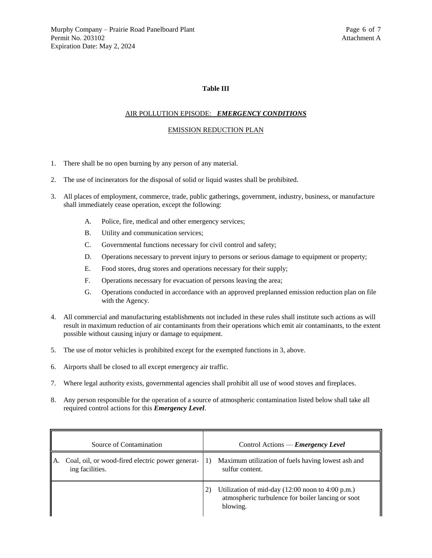## **Table III**

## AIR POLLUTION EPISODE: *EMERGENCY CONDITIONS*

#### EMISSION REDUCTION PLAN

- 1. There shall be no open burning by any person of any material.
- 2. The use of incinerators for the disposal of solid or liquid wastes shall be prohibited.
- 3. All places of employment, commerce, trade, public gatherings, government, industry, business, or manufacture shall immediately cease operation, except the following:
	- A. Police, fire, medical and other emergency services;
	- B. Utility and communication services;
	- C. Governmental functions necessary for civil control and safety;
	- D. Operations necessary to prevent injury to persons or serious damage to equipment or property;
	- E. Food stores, drug stores and operations necessary for their supply;
	- F. Operations necessary for evacuation of persons leaving the area;
	- G. Operations conducted in accordance with an approved preplanned emission reduction plan on file with the Agency.
- 4. All commercial and manufacturing establishments not included in these rules shall institute such actions as will result in maximum reduction of air contaminants from their operations which emit air contaminants, to the extent possible without causing injury or damage to equipment.
- 5. The use of motor vehicles is prohibited except for the exempted functions in 3, above.
- 6. Airports shall be closed to all except emergency air traffic.
- 7. Where legal authority exists, governmental agencies shall prohibit all use of wood stoves and fireplaces.
- 8. Any person responsible for the operation of a source of atmospheric contamination listed below shall take all required control actions for this *Emergency Level*.

| Source of Contamination                                                   | Control Actions — <b><i>Emergency Level</i></b>                                                                                            |
|---------------------------------------------------------------------------|--------------------------------------------------------------------------------------------------------------------------------------------|
| Coal, oil, or wood-fired electric power generat-<br>A.<br>ing facilities. | Maximum utilization of fuels having lowest ash and<br>$_{1}$<br>sulfur content.                                                            |
|                                                                           | 2)<br>Utilization of mid-day $(12:00 \text{ noon to } 4:00 \text{ p.m.})$<br>atmospheric turbulence for boiler lancing or soot<br>blowing. |